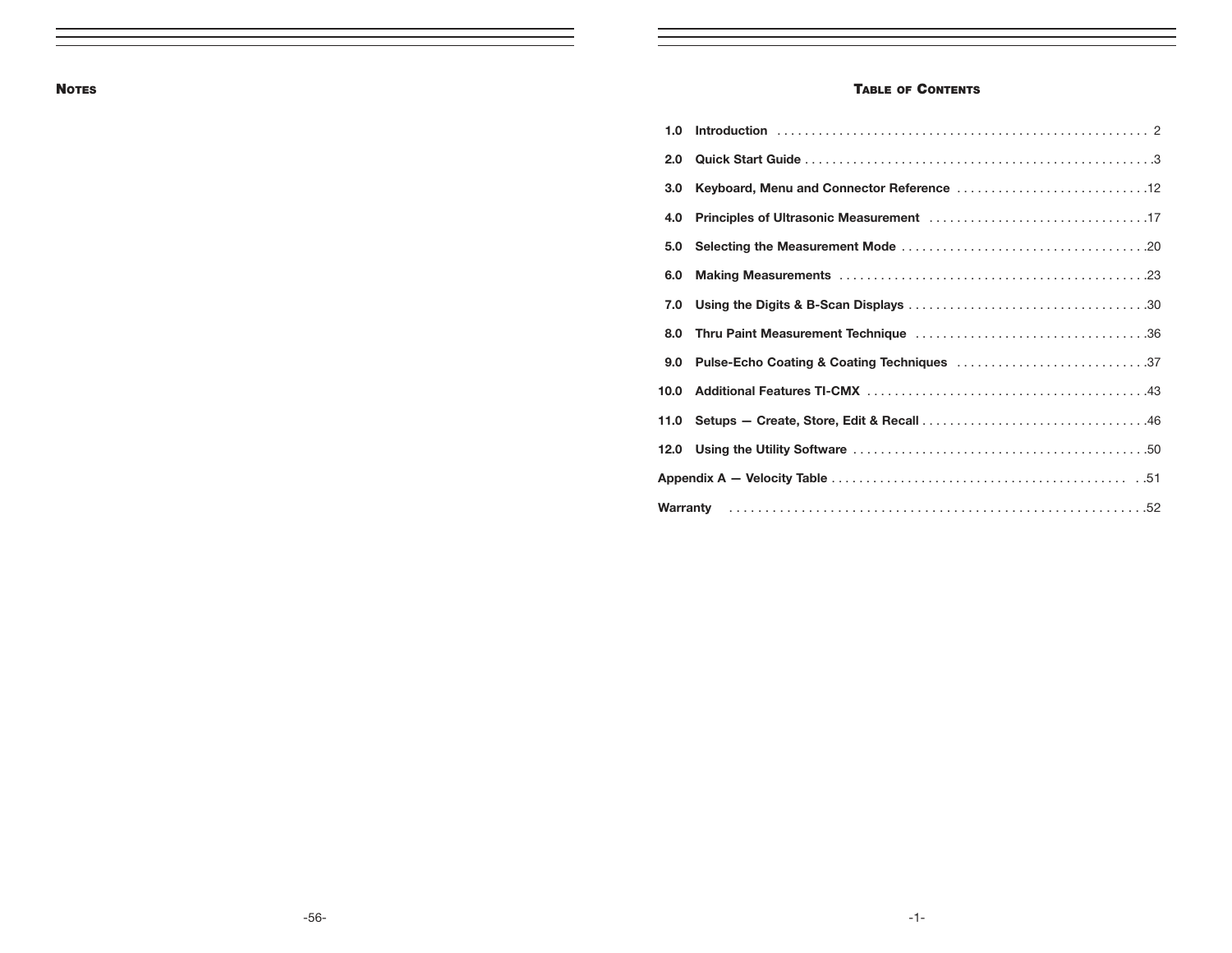### NOTES **TABLE OF CONTENTS**

| 1.0  |                                            |
|------|--------------------------------------------|
| 2.0  |                                            |
| 3.0  |                                            |
| 4.0  |                                            |
| 5.0  |                                            |
| 6.0  |                                            |
| 7.0  |                                            |
|      |                                            |
| 9.0  | Pulse-Echo Coating & Coating Techniques 37 |
| 10.0 |                                            |
|      |                                            |
|      |                                            |
|      |                                            |
|      |                                            |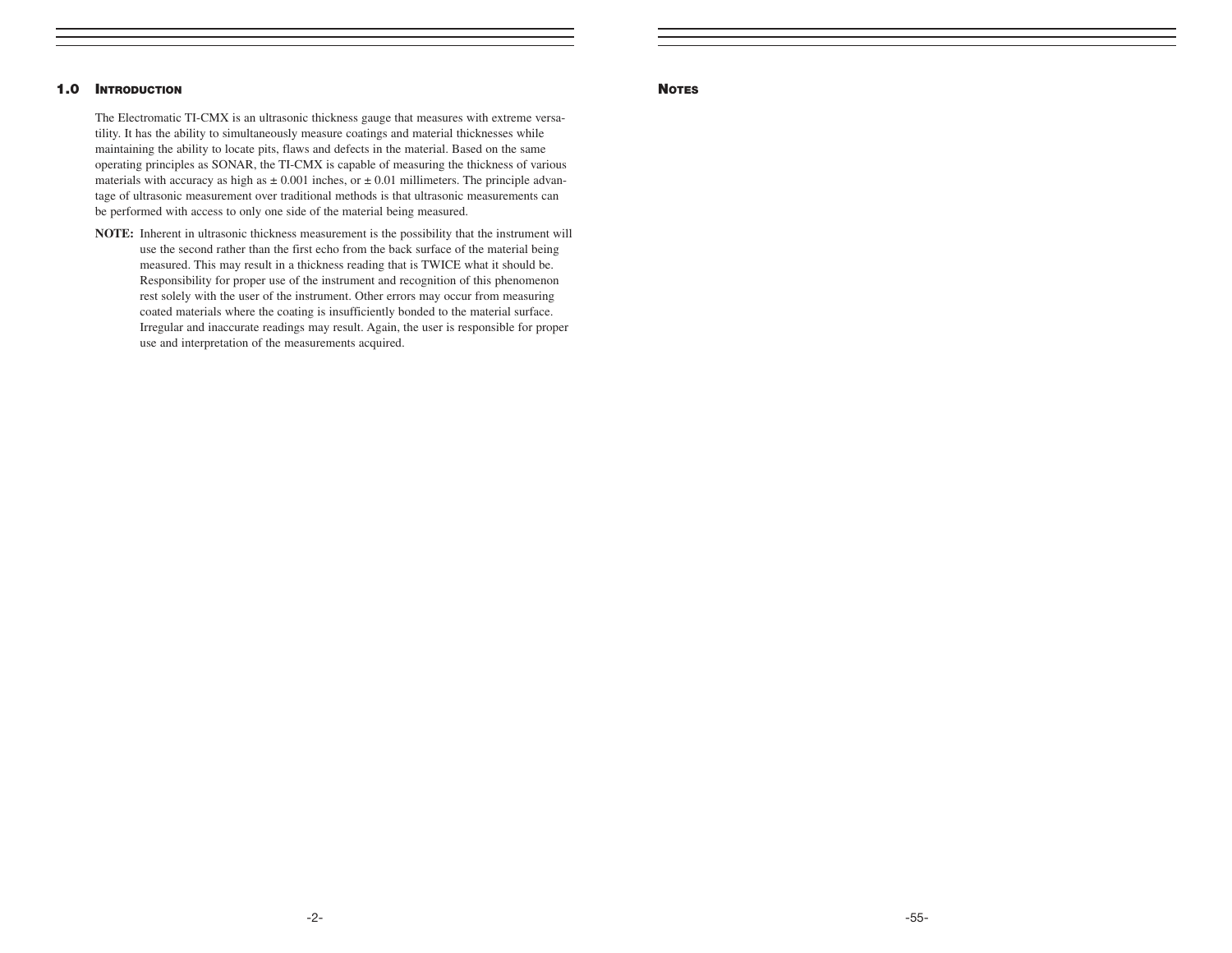#### 1.0 INTRODUCTION

The Electromatic TI-CMX is an ultrasonic thickness gauge that measures with extreme versatility. It has the ability to simultaneously measure coatings and material thicknesses while maintaining the ability to locate pits, flaws and defects in the material. Based on the same operating principles as SONAR, the TI-CMX is capable of measuring the thickness of various materials with accuracy as high as  $\pm 0.001$  inches, or  $\pm 0.01$  millimeters. The principle advantage of ultrasonic measurement over traditional methods is that ultrasonic measurements can be performed with access to only one side of the material being measured.

**NOTE:** Inherent in ultrasonic thickness measurement is the possibility that the instrument will use the second rather than the first echo from the back surface of the material being measured. This may result in a thickness reading that is TWICE what it should be. Responsibility for proper use of the instrument and recognition of this phenomenon rest solely with the user of the instrument. Other errors may occur from measuring coated materials where the coating is insufficiently bonded to the material surface. Irregular and inaccurate readings may result. Again, the user is responsible for proper use and interpretation of the measurements acquired.

#### **NOTES**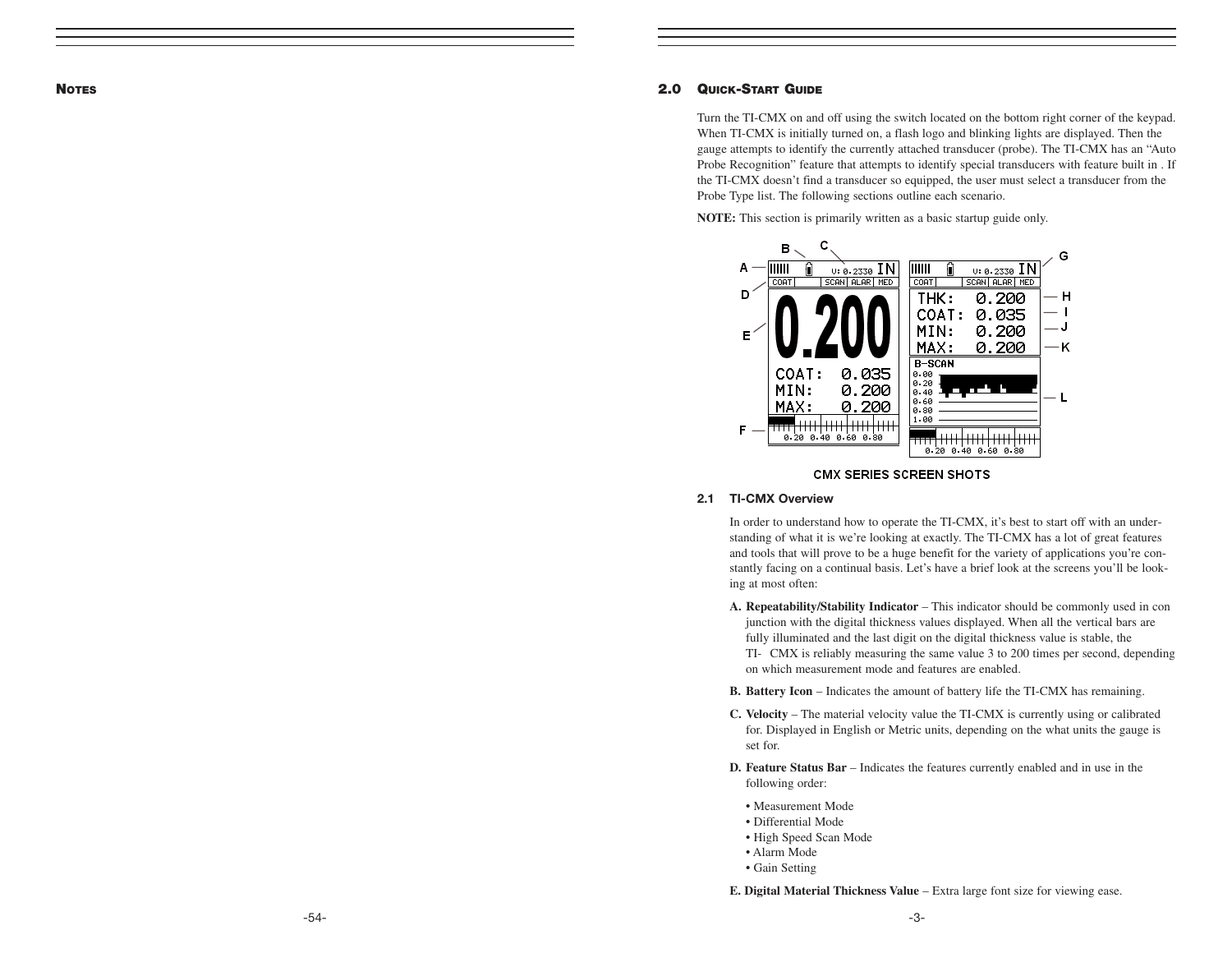**NOTES** 

#### 2.0 QUICK-START GUIDE

Turn the TI-CMX on and off using the switch located on the bottom right corner of the keypad. When TI-CMX is initially turned on, a flash logo and blinking lights are displayed. Then the gauge attempts to identify the currently attached transducer (probe). The TI-CMX has an "Auto Probe Recognition" feature that attempts to identify special transducers with feature built in . If the TI-CMX doesn't find a transducer so equipped, the user must select a transducer from the Probe Type list. The following sections outline each scenario.

**NOTE:** This section is primarily written as a basic startup guide only.



#### **CMX SERIES SCREEN SHOTS**

#### 2.1 TI-CMX Overview

In order to understand how to operate the TI-CMX, it's best to start off with an understanding of what it is we're looking at exactly. The TI-CMX has a lot of great features and tools that will prove to be a huge benefit for the variety of applications you're constantly facing on a continual basis. Let's have a brief look at the screens you'll be looking at most often:

- **A. Repeatability/Stability Indicator**  This indicator should be commonly used in con junction with the digital thickness values displayed. When all the vertical bars are fully illuminated and the last digit on the digital thickness value is stable, the TI- CMX is reliably measuring the same value 3 to 200 times per second, depending on which measurement mode and features are enabled.
- **B. Battery Icon** Indicates the amount of battery life the TI-CMX has remaining.
- **C. Velocity** The material velocity value the TI-CMX is currently using or calibrated for. Displayed in English or Metric units, depending on the what units the gauge is set for.
- **D. Feature Status Bar** Indicates the features currently enabled and in use in the following order:
	- Measurement Mode
	- Differential Mode
	- High Speed Scan Mode
	- Alarm Mode
	- Gain Setting

**E. Digital Material Thickness Value** – Extra large font size for viewing ease.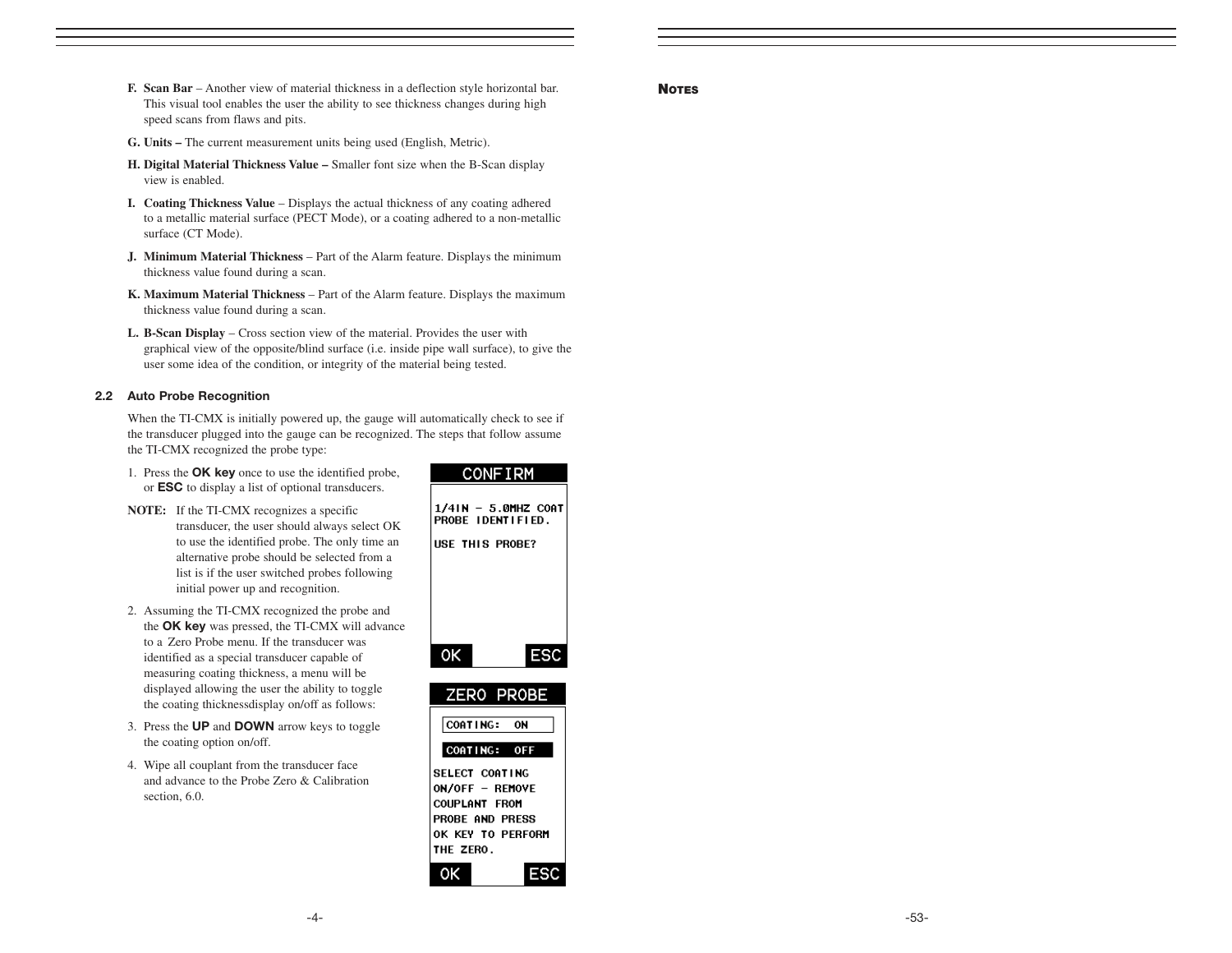- **F. Scan Bar**  Another view of material thickness in a deflection style horizontal bar. This visual tool enables the user the ability to see thickness changes during high speed scans from flaws and pits.
- **G. Units –** The current measurement units being used (English, Metric).
- **H. Digital Material Thickness Value** Smaller font size when the B-Scan display view is enabled.
- **I. Coating Thickness Value** Displays the actual thickness of any coating adhered to a metallic material surface (PECT Mode), or a coating adhered to a non-metallic surface (CT Mode).
- **J. Minimum Material Thickness**  Part of the Alarm feature. Displays the minimum thickness value found during a scan.
- **K. Maximum Material Thickness**  Part of the Alarm feature. Displays the maximum thickness value found during a scan.
- **L. B-Scan Display** Cross section view of the material. Provides the user with graphical view of the opposite/blind surface (i.e. inside pipe wall surface), to give the user some idea of the condition, or integrity of the material being tested.

#### 2.2 Auto Probe Recognition

When the TI-CMX is initially powered up, the gauge will automatically check to see if the transducer plugged into the gauge can be recognized. The steps that follow assume the TI-CMX recognized the probe type:

- 1. Press the OK key once to use the identified probe, or ESC to display a list of optional transducers.
- **NOTE:** If the TI-CMX recognizes a specific transducer, the user should always select OK to use the identified probe. The only time an alternative probe should be selected from a list is if the user switched probes following initial power up and recognition.
- 2. Assuming the TI-CMX recognized the probe and the OK key was pressed, the TI-CMX will advance to a Zero Probe menu. If the transducer was identified as a special transducer capable of measuring coating thickness, a menu will be displayed allowing the user the ability to toggle the coating thicknessdisplay on/off as follows:
- 3. Press the UP and DOWN arrow keys to toggle the coating option on/off.
- 4. Wipe all couplant from the transducer face and advance to the Probe Zero & Calibration section, 6.0.

| <b>CONFIRM</b>                                                                                                 |
|----------------------------------------------------------------------------------------------------------------|
| 1/4IN - 5.0MHZ COAT<br>PROBE IDENTIFIED.<br>USE THIS PROBE?                                                    |
| OK<br><b>ESC</b>                                                                                               |
|                                                                                                                |
| ZERO PROBE<br>COATING: ON                                                                                      |
| COATING: OFF                                                                                                   |
| SELECT COATING<br>ON/OFF - REMOVE<br><b>COUPLANT FROM</b><br>PROBE AND PRESS<br>OK KEY TO PERFORM<br>THE ZERO. |

#### **NOTES**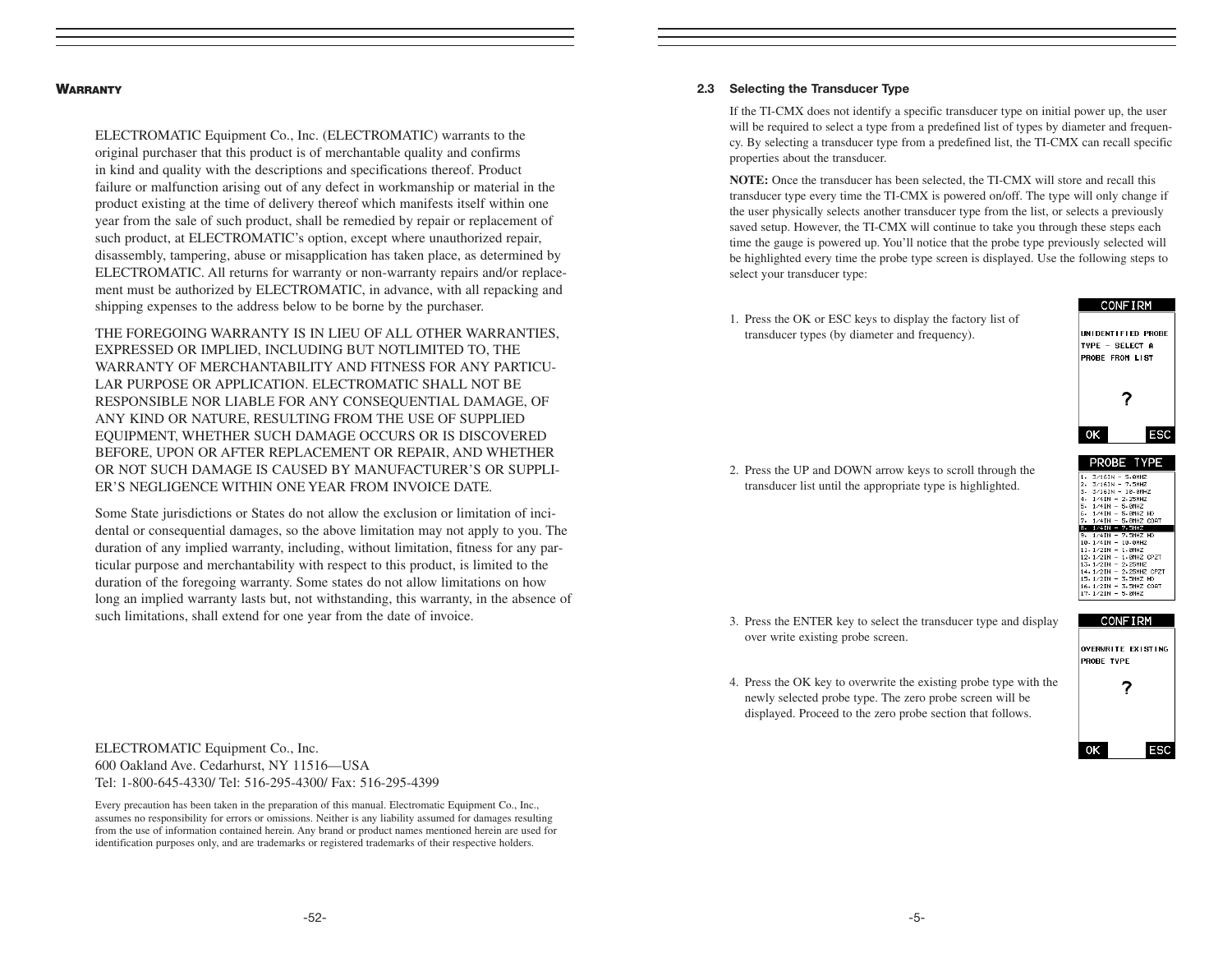#### **WARRANTY**

ELECTROMATIC Equipment Co., Inc. (ELECTROMATIC) warrants to the original purchaser that this product is of merchantable quality and confirms in kind and quality with the descriptions and specifications thereof. Product failure or malfunction arising out of any defect in workmanship or material in the product existing at the time of delivery thereof which manifests itself within one year from the sale of such product, shall be remedied by repair or replacement of such product, at ELECTROMATIC's option, except where unauthorized repair, disassembly, tampering, abuse or misapplication has taken place, as determined by ELECTROMATIC. All returns for warranty or non-warranty repairs and/or replacement must be authorized by ELECTROMATIC, in advance, with all repacking and shipping expenses to the address below to be borne by the purchaser.

THE FOREGOING WARRANTY IS IN LIEU OF ALL OTHER WARRANTIES, EXPRESSED OR IMPLIED, INCLUDING BUT NOTLIMITED TO, THE WARRANTY OF MERCHANTABILITY AND FITNESS FOR ANY PARTICU-LAR PURPOSE OR APPLICATION. ELECTROMATIC SHALL NOT BE RESPONSIBLE NOR LIABLE FOR ANY CONSEQUENTIAL DAMAGE, OF ANY KIND OR NATURE, RESULTING FROM THE USE OF SUPPLIED EQUIPMENT, WHETHER SUCH DAMAGE OCCURS OR IS DISCOVERED BEFORE, UPON OR AFTER REPLACEMENT OR REPAIR, AND WHETHER OR NOT SUCH DAMAGE IS CAUSED BY MANUFACTURER'S OR SUPPLI-ER'S NEGLIGENCE WITHIN ONE YEAR FROM INVOICE DATE.

Some State jurisdictions or States do not allow the exclusion or limitation of incidental or consequential damages, so the above limitation may not apply to you. The duration of any implied warranty, including, without limitation, fitness for any particular purpose and merchantability with respect to this product, is limited to the duration of the foregoing warranty. Some states do not allow limitations on how long an implied warranty lasts but, not withstanding, this warranty, in the absence of such limitations, shall extend for one year from the date of invoice.

#### 2.3 Selecting the Transducer Type

If the TI-CMX does not identify a specific transducer type on initial power up, the user will be required to select a type from a predefined list of types by diameter and frequency. By selecting a transducer type from a predefined list, the TI-CMX can recall specific properties about the transducer.

**NOTE:** Once the transducer has been selected, the TI-CMX will store and recall this transducer type every time the TI-CMX is powered on/off. The type will only change if the user physically selects another transducer type from the list, or selects a previously saved setup. However, the TI-CMX will continue to take you through these steps each time the gauge is powered up. You'll notice that the probe type previously selected will be highlighted every time the probe type screen is displayed. Use the following steps to select your transducer type:

1. Press the OK or ESC keys to display the factory list of transducer types (by diameter and frequency).



 $3/161N - 5.0MHZ$ <br> $3/161N - 7.5MHZ$ 3. 3/16IN - 18.0MHZ 3. 3/1518 - 10.0882<br>4. 1/418 - 2.25882<br>5. 1/418 - 5.0882<br>6. 1/418 - 5.0882 BD<br>7. 1/418 - 5.0882 CORT  $8.1/41N - 7.5MHZ$ 9.  $1/41N - 7.5MHZ HD$ <br>18.  $1/41N - 18.9MHZ$ 19. 1/41N - 19.9MHZ<br>11. 1/2IN - 1.9MHZ<br>12. 1/2IN - 1.9MHZ CPZT  $13.1/21N - 2.25MHZ$ 13 - 1/21N = 2-25MHZ<br>14 - 1/21N = 2-25MHZ CPZT<br>15 - 1/21N = 3-5MHZ HD<br>16 - 1/21N = 3-5MHZ CORT<br>17 - 1/21N = 5-0MHZ

2. Press the UP and DOWN arrow keys to scroll through the transducer list until the appropriate type is highlighted.

- 3. Press the ENTER key to select the transducer type and display over write existing probe screen.
- 4. Press the OK key to overwrite the existing probe type with the newly selected probe type. The zero probe screen will be displayed. Proceed to the zero probe section that follows.

| <b>CONFIRM</b>                          |  |  |  |  |
|-----------------------------------------|--|--|--|--|
| OVERWRITE EXISTING<br><b>PROBE TYPE</b> |  |  |  |  |
|                                         |  |  |  |  |
| ESC<br>oк                               |  |  |  |  |

ELECTROMATIC Equipment Co., Inc. 600 Oakland Ave. Cedarhurst, NY 11516—USA Tel: 1-800-645-4330/ Tel: 516-295-4300/ Fax: 516-295-4399

Every precaution has been taken in the preparation of this manual. Electromatic Equipment Co., Inc., assumes no responsibility for errors or omissions. Neither is any liability assumed for damages resulting from the use of information contained herein. Any brand or product names mentioned herein are used for identification purposes only, and are trademarks or registered trademarks of their respective holders.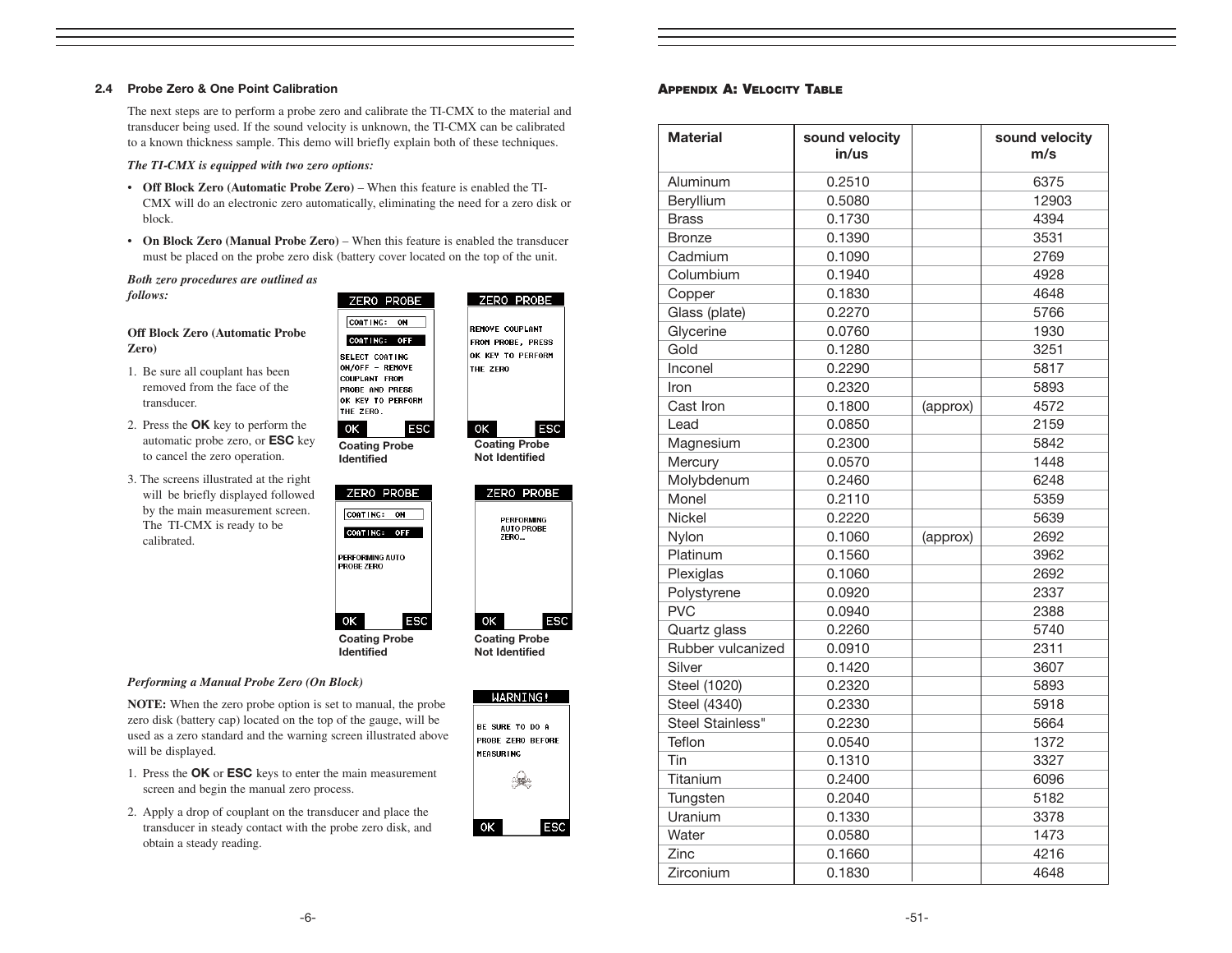#### 2.4 Probe Zero & One Point Calibration

The next steps are to perform a probe zero and calibrate the TI-CMX to the material and transducer being used. If the sound velocity is unknown, the TI-CMX can be calibrated to a known thickness sample. This demo will briefly explain both of these techniques.

#### *The TI-CMX is equipped with two zero options:*

- **Off Block Zero (Automatic Probe Zero)** When this feature is enabled the TI-CMX will do an electronic zero automatically, eliminating the need for a zero disk or block.
- **On Block Zero (Manual Probe Zero)**  When this feature is enabled the transducer must be placed on the probe zero disk (battery cover located on the top of the unit.

ОΚ

ZERO PROBE

*Both zero procedures are outlined as follows:*

#### **Off Block Zero (Automatic Probe Zero)**

- 1. Be sure all couplant has been removed from the face of the transducer.
- 2. Press the OK key to perform the automatic probe zero, or ESC key to cancel the zero operation.
- 3. The screens illustrated at the right will be briefly displayed followed by the main measurement screen. The TI-CMX is ready to be calibrated.



Coating Probe Not Identified

|                      |      | ZERO PROBE                      |            |
|----------------------|------|---------------------------------|------------|
|                      | ZERO | PERFORMING<br><b>AUTO PROBE</b> |            |
| ОΚ                   |      |                                 | <b>ESC</b> |
| <b>Coating Probe</b> |      |                                 |            |

ZERO PROBE

ESC

Not Identified

#### *Performing a Manual Probe Zero (On Block)*

**NOTE:** When the zero probe option is set to manual, the probe zero disk (battery cap) located on the top of the gauge, will be used as a zero standard and the warning screen illustrated above will be displayed.

Coating Probe Identified

OK

**ESC** 

PERFORMING AUTO<br>PROBE ZERO

ZERO PROBE CORTING: ON CORTING: OFF

- 1. Press the OK or ESC keys to enter the main measurement screen and begin the manual zero process.
- 2. Apply a drop of couplant on the transducer and place the transducer in steady contact with the probe zero disk, and obtain a steady reading.

|                  | WARNING!                                           |
|------------------|----------------------------------------------------|
| <b>MEASURING</b> | <b>BE SURE TO DO A</b><br><b>PROBE ZERO BEFORE</b> |
|                  |                                                    |
| оκ               | FSC                                                |

#### APPENDIX A: VELOCITY TABLE

| <b>Material</b>   | sound velocity<br>in/us |          | sound velocity<br>m/s |
|-------------------|-------------------------|----------|-----------------------|
| Aluminum          | 0.2510                  |          | 6375                  |
| Beryllium         | 0.5080                  |          | 12903                 |
| <b>Brass</b>      | 0.1730                  |          | 4394                  |
| <b>Bronze</b>     | 0.1390                  |          | 3531                  |
| Cadmium           | 0.1090                  |          | 2769                  |
| Columbium         | 0.1940                  |          | 4928                  |
| Copper            | 0.1830                  |          | 4648                  |
| Glass (plate)     | 0.2270                  |          | 5766                  |
| Glycerine         | 0.0760                  |          | 1930                  |
| Gold              | 0.1280                  |          | 3251                  |
| Inconel           | 0.2290                  |          | 5817                  |
| Iron              | 0.2320                  |          | 5893                  |
| Cast Iron         | 0.1800                  | (approx) | 4572                  |
| Lead              | 0.0850                  |          | 2159                  |
| Magnesium         | 0.2300                  |          | 5842                  |
| Mercury           | 0.0570                  |          | 1448                  |
| Molybdenum        | 0.2460                  |          | 6248                  |
| Monel             | 0.2110                  |          | 5359                  |
| Nickel            | 0.2220                  |          | 5639                  |
| Nylon             | 0.1060                  | (approx) | 2692                  |
| Platinum          | 0.1560                  |          | 3962                  |
| Plexiglas         | 0.1060                  |          | 2692                  |
| Polystyrene       | 0.0920                  |          | 2337                  |
| <b>PVC</b>        | 0.0940                  |          | 2388                  |
| Quartz glass      | 0.2260                  |          | 5740                  |
| Rubber vulcanized | 0.0910                  |          | 2311                  |
| Silver            | 0.1420                  |          | 3607                  |
| Steel (1020)      | 0.2320                  |          | 5893                  |
| Steel (4340)      | 0.2330                  |          | 5918                  |
| Steel Stainless"  | 0.2230                  |          | 5664                  |
| Teflon            | 0.0540                  |          | 1372                  |
| Tin               | 0.1310                  |          | 3327                  |
| Titanium          | 0.2400                  |          | 6096                  |
| Tungsten          | 0.2040                  |          | 5182                  |
| Uranium           | 0.1330                  |          | 3378                  |
| Water             | 0.0580                  |          | 1473                  |
| Zinc              | 0.1660                  |          | 4216                  |
| Zirconium         | 0.1830                  |          | 4648                  |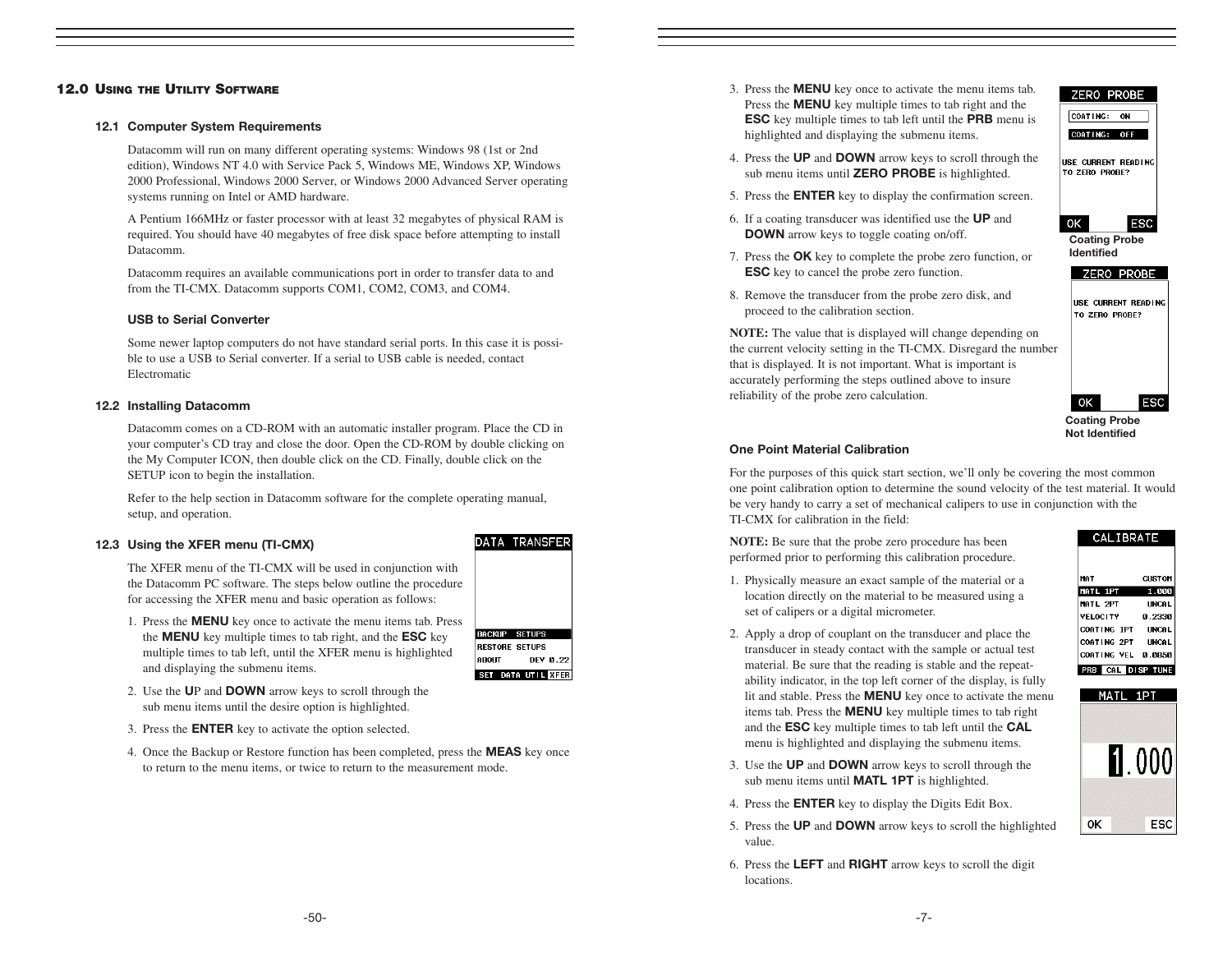#### 12.0 USING THE UTILITY SOFTWARE

#### 12.1 Computer System Requirements

Datacomm will run on many different operating systems: Windows 98 (1st or 2nd edition), Windows NT 4.0 with Service Pack 5, Windows ME, Windows XP, Windows 2000 Professional, Windows 2000 Server, or Windows 2000 Advanced Server operating systems running on Intel or AMD hardware.

A Pentium 166MHz or faster processor with at least 32 megabytes of physical RAM is required. You should have 40 megabytes of free disk space before attempting to install Datacomm.

Datacomm requires an available communications port in order to transfer data to and from the TI-CMX. Datacomm supports COM1, COM2, COM3, and COM4.

#### USB to Serial Converter

Some newer laptop computers do not have standard serial ports. In this case it is possible to use a USB to Serial converter. If a serial to USB cable is needed, contact Electromatic

#### 12.2 Installing Datacomm

Datacomm comes on a CD-ROM with an automatic installer program. Place the CD in your computer's CD tray and close the door. Open the CD-ROM by double clicking on the My Computer ICON, then double click on the CD. Finally, double click on the SETUP icon to begin the installation.

Refer to the help section in Datacomm software for the complete operating manual, setup, and operation.

#### 12.3 Using the XFER menu (TI-CMX)

The XFER menu of the TI-CMX will be used in conjunction with the Datacomm PC software. The steps below outline the procedure for accessing the XFER menu and basic operation as follows:

- 1. Press the MENU key once to activate the menu items tab. Press the MENU key multiple times to tab right, and the ESC key multiple times to tab left, until the XFER menu is highlighted and displaying the submenu items.
- 2. Use the UP and DOWN arrow keys to scroll through the sub menu items until the desire option is highlighted.
- 3. Press the ENTER key to activate the option selected.
- 4. Once the Backup or Restore function has been completed, press the **MEAS** key once to return to the menu items, or twice to return to the measurement mode.
- 3. Press the MENU key once to activate the menu items tab. Press the **MENU** key multiple times to tab right and the ESC key multiple times to tab left until the PRB menu is highlighted and displaying the submenu items.
- 4. Press the UP and DOWN arrow keys to scroll through the sub menu items until **ZERO PROBE** is highlighted.
- 5. Press the ENTER key to display the confirmation screen.
- 6. If a coating transducer was identified use the UP and DOWN arrow keys to toggle coating on/off.
- 7. Press the OK key to complete the probe zero function, or ESC key to cancel the probe zero function.
- 8. Remove the transducer from the probe zero disk, and proceed to the calibration section.

**NOTE:** The value that is displayed will change depending on the current velocity setting in the TI-CMX. Disregard the number that is displayed. It is not important. What is important is accurately performing the steps outlined above to insure reliability of the probe zero calculation.

### USE CURRENT READING TO ZERO PROBE?

ZERO PROBE

Coating Probe Identified

**ESC** 

ESC

**CUSTOM** 

1.000

**IINCAL** 

0.2330

**UNCAL** 

 $OK$ 

### Coating Probe Not Identified

**CALIBRATE** 

0K

MAT MATL 1PT

MATL 2PT

**VELOCITY** 

COATING 1PT

COATING 2PT UNCAL

COATING VEL 0.0850

#### One Point Material Calibration

For the purposes of this quick start section, we'll only be covering the most common one point calibration option to determine the sound velocity of the test material. It would be very handy to carry a set of mechanical calipers to use in conjunction with the TI-CMX for calibration in the field:

**NOTE:** Be sure that the probe zero procedure has been performed prior to performing this calibration procedure.

- 1. Physically measure an exact sample of the material or a location directly on the material to be measured using a set of calipers or a digital micrometer.
- 2. Apply a drop of couplant on the transducer and place the transducer in steady contact with the sample or actual test material. Be sure that the reading is stable and the repeatability indicator, in the top left corner of the display, is fully lit and stable. Press the MENU key once to activate the menu items tab. Press the MENU key multiple times to tab right and the ESC key multiple times to tab left until the CAL menu is highlighted and displaying the submenu items.
- 3. Use the UP and DOWN arrow keys to scroll through the sub menu items until **MATL 1PT** is highlighted.
- 4. Press the ENTER key to display the Digits Edit Box.
- 5. Press the UP and DOWN arrow keys to scroll the highlighted value.
- 6. Press the LEFT and RIGHT arrow keys to scroll the digit locations.







SET DATA UTIL KITER



COATING: OFF USE CURRENT READING TO ZERO PROBE?



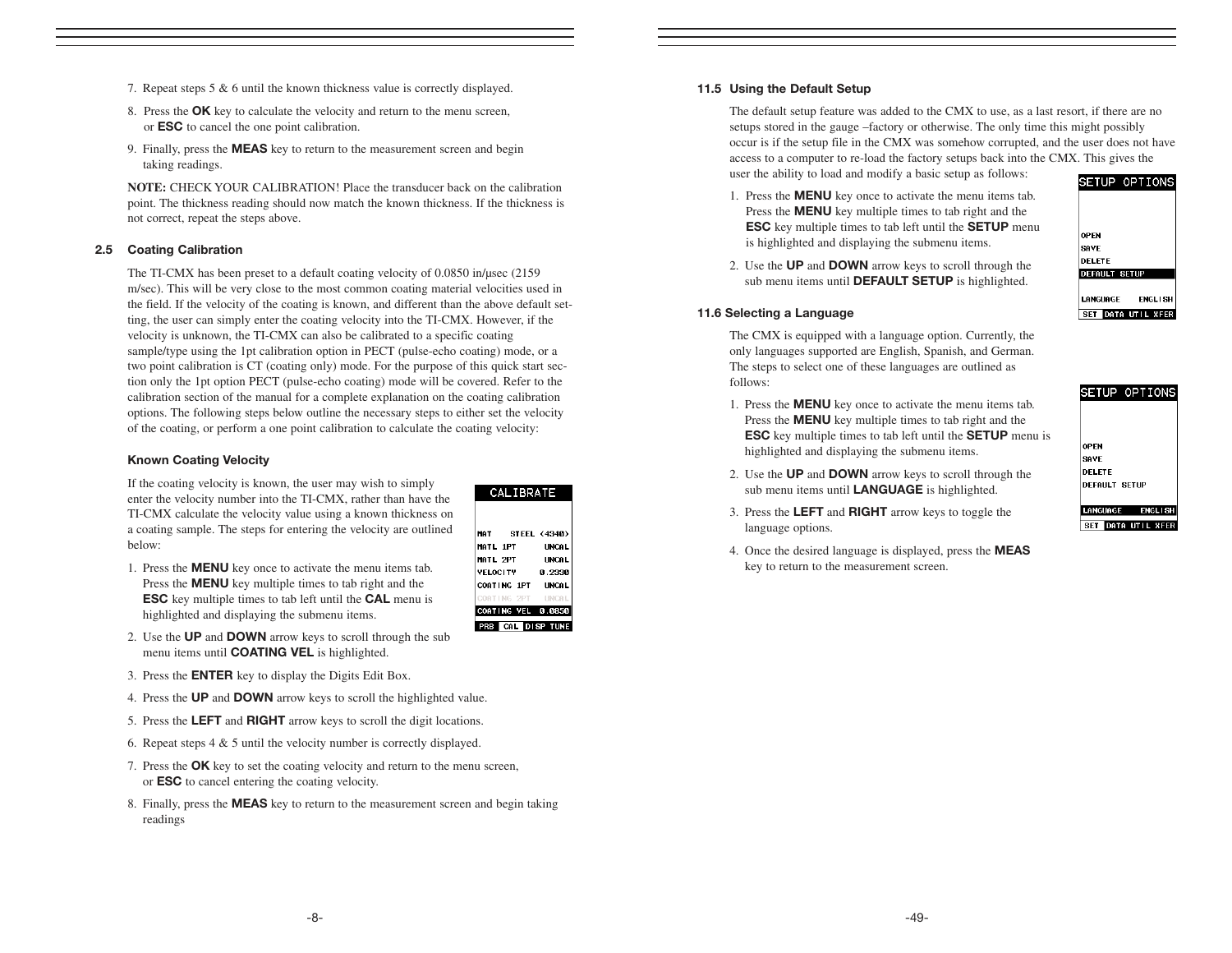- 7. Repeat steps 5 & 6 until the known thickness value is correctly displayed.
- 8. Press the **OK** key to calculate the velocity and return to the menu screen, or ESC to cancel the one point calibration.
- 9. Finally, press the **MEAS** key to return to the measurement screen and begin taking readings.

**NOTE:** CHECK YOUR CALIBRATION! Place the transducer back on the calibration point. The thickness reading should now match the known thickness. If the thickness is not correct, repeat the steps above.

#### 2.5 Coating Calibration

The TI-CMX has been preset to a default coating velocity of 0.0850 in/µsec (2159 m/sec). This will be very close to the most common coating material velocities used in the field. If the velocity of the coating is known, and different than the above default setting, the user can simply enter the coating velocity into the TI-CMX. However, if the velocity is unknown, the TI-CMX can also be calibrated to a specific coating sample/type using the 1pt calibration option in PECT (pulse-echo coating) mode, or a two point calibration is CT (coating only) mode. For the purpose of this quick start section only the 1pt option PECT (pulse-echo coating) mode will be covered. Refer to the calibration section of the manual for a complete explanation on the coating calibration options. The following steps below outline the necessary steps to either set the velocity of the coating, or perform a one point calibration to calculate the coating velocity:

#### Known Coating Velocity

If the coating velocity is known, the user may wish to simply enter the velocity number into the TI-CMX, rather than have the TI-CMX calculate the velocity value using a known thickness on a coating sample. The steps for entering the velocity are outlined below:

- 1. Press the MENU key once to activate the menu items tab. Press the **MENU** key multiple times to tab right and the ESC key multiple times to tab left until the CAL menu is highlighted and displaying the submenu items.
- 2. Use the UP and DOWN arrow keys to scroll through the sub menu items until **COATING VEL** is highlighted.
- 3. Press the ENTER key to display the Digits Edit Box.
- 4. Press the UP and DOWN arrow keys to scroll the highlighted value.
- 5. Press the LEFT and RIGHT arrow keys to scroll the digit locations.
- 6. Repeat steps 4 & 5 until the velocity number is correctly displayed.
- 7. Press the OK key to set the coating velocity and return to the menu screen, or ESC to cancel entering the coating velocity.
- 8. Finally, press the MEAS key to return to the measurement screen and begin taking readings

#### CALIBRATE STEEL (4340) MAT MATL 1PT **UNCAL** MATL 2PT **UNCAL VELOCITY** 0.2330 COATING 1PT **INCAL** COATING VEL 0.0850 PRB CAL DISP TUNE

11.5 Using the Default Setup

The default setup feature was added to the CMX to use, as a last resort, if there are no setups stored in the gauge –factory or otherwise. The only time this might possibly occur is if the setup file in the CMX was somehow corrupted, and the user does not have access to a computer to re-load the factory setups back into the CMX. This gives the user the ability to load and modify a basic setup as follows:

1. Press the MENU key once to activate the menu items tab. Press the MENU key multiple times to tab right and the ESC key multiple times to tab left until the SETUP menu is highlighted and displaying the submenu items.



2. Use the UP and DOWN arrow keys to scroll through the sub menu items until **DEFAULT SETUP** is highlighted.

#### 11.6 Selecting a Language

The CMX is equipped with a language option. Currently, the only languages supported are English, Spanish, and German. The steps to select one of these languages are outlined as follows:

- 1. Press the MENU key once to activate the menu items tab. Press the MENU key multiple times to tab right and the ESC key multiple times to tab left until the SETUP menu is highlighted and displaying the submenu items.
- 2. Use the UP and DOWN arrow keys to scroll through the sub menu items until **LANGUAGE** is highlighted.
- 3. Press the LEFT and RIGHT arrow keys to toggle the language options.
- key to return to the measurement screen.

## SETUP OPTIONS **OPEN** SAVE DELETE **DEFAULT SETUP**

LANGUAGE ENGLISH SET DATA UTIL XFER

4. Once the desired language is displayed, press the MEAS

-8-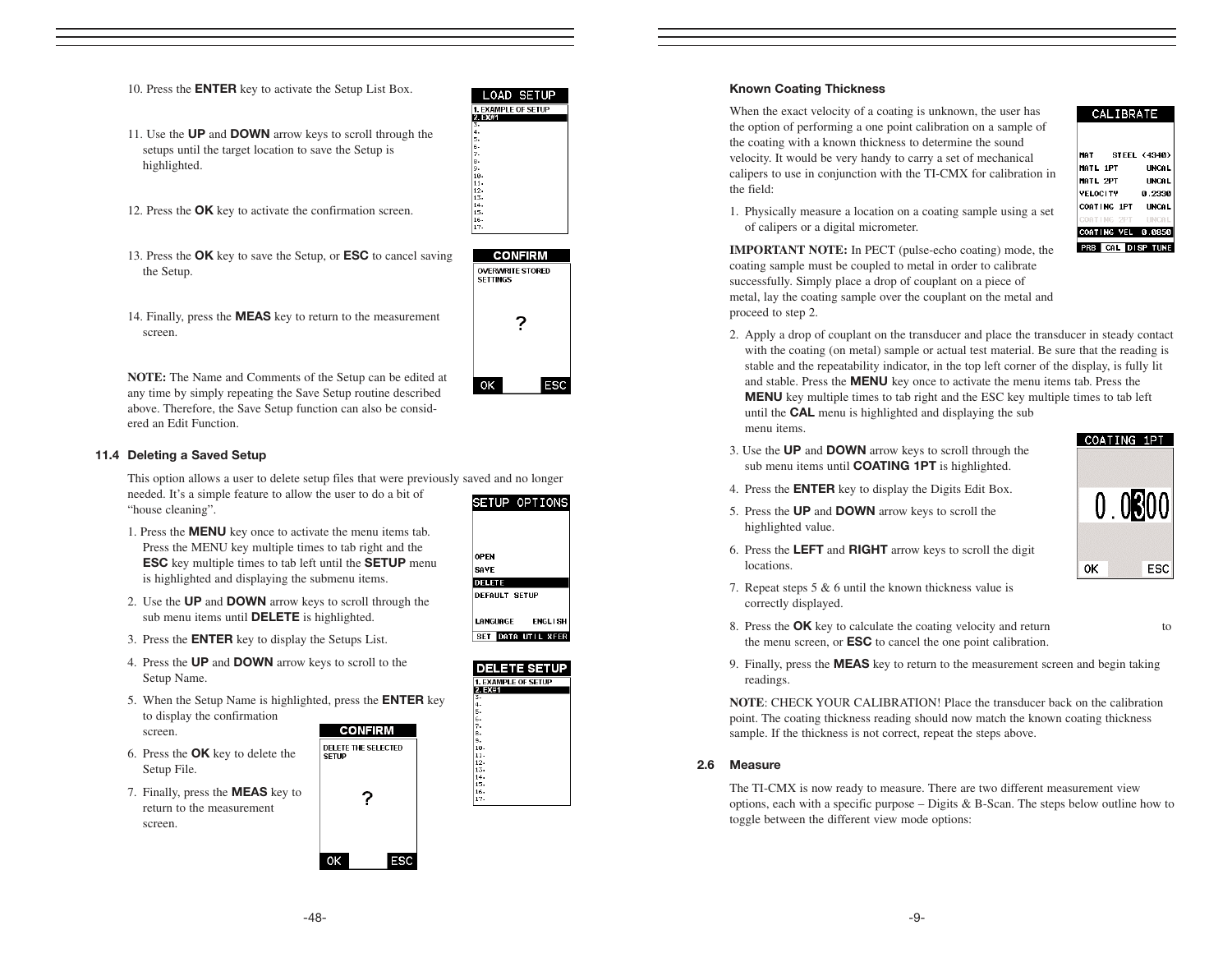- 11. Use the UP and DOWN arrow keys to scroll through the setups until the target location to save the Setup is highlighted.
- 12. Press the OK key to activate the confirmation screen.
- 13. Press the OK key to save the Setup, or ESC to cancel saving the Setup.



**LOAD SETUP 1. EXAMPLE OF SETUP** 

14. Finally, press the MEAS key to return to the measurement screen.

**NOTE:** The Name and Comments of the Setup can be edited at any time by simply repeating the Save Setup routine described above. Therefore, the Save Setup function can also be considered an Edit Function.

#### 11.4 Deleting a Saved Setup

This option allows a user to delete setup files that were previously saved and no longer needed. It's a simple feature to allow the user to do a bit of SETUP OPTIONS "house cleaning".

**DELETE THE SELECTED** 

2

**ESC** 

- 1. Press the MENU key once to activate the menu items tab. Press the MENU key multiple times to tab right and the ESC key multiple times to tab left until the SETUP menu is highlighted and displaying the submenu items.
- 2. Use the UP and DOWN arrow keys to scroll through the sub menu items until **DELETE** is highlighted.
- 3. Press the ENTER key to display the Setups List.
- 4. Press the UP and DOWN arrow keys to scroll to the Setup Name.
- 5. When the Setup Name is highlighted, press the ENTER key to display the confirmation **CONFIRM** 
	- screen.
- 6. Press the OK key to delete the Setup File.
- 7. Finally, press the MEAS key to return to the measurement screen.



OPEN

SAVE **DELETE DEFAULT SETUP** LANGUAGE

**ENGLISH** SET DATA UTIL XFER

#### Known Coating Thickness

When the exact velocity of a coating is unknown, the user has the option of performing a one point calibration on a sample of the coating with a known thickness to determine the sound velocity. It would be very handy to carry a set of mechanical calipers to use in conjunction with the TI-CMX for calibration in the field:



| <b>MAT</b><br><b>STEEL (4340)</b> |              |
|-----------------------------------|--------------|
| <b>MATL 1PT</b>                   | <b>UNCAL</b> |
| MATL 2PT                          | <b>UNCAL</b> |
| VFLOCITY                          | 0.2330       |
| COATING 1PT                       | <b>UNCAL</b> |
| COATING 2PT                       | <b>UNCAL</b> |
| COATING VEL 0.0850                |              |
| <b>CAL DISP TUNE</b>              |              |

1. Physically measure a location on a coating sample using a set of calipers or a digital micrometer.

**IMPORTANT NOTE:** In PECT (pulse-echo coating) mode, the coating sample must be coupled to metal in order to calibrate successfully. Simply place a drop of couplant on a piece of metal, lay the coating sample over the couplant on the metal and proceed to step 2.

- 2. Apply a drop of couplant on the transducer and place the transducer in steady contact with the coating (on metal) sample or actual test material. Be sure that the reading is stable and the repeatability indicator, in the top left corner of the display, is fully lit and stable. Press the MENU key once to activate the menu items tab. Press the MENU key multiple times to tab right and the ESC key multiple times to tab left until the CAL menu is highlighted and displaying the sub menu items.
- 3. Use the UP and DOWN arrow keys to scroll through the sub menu items until **COATING 1PT** is highlighted.

4. Press the ENTER key to display the Digits Edit Box. 5. Press the UP and DOWN arrow keys to scroll the

highlighted value.

locations.



7. Repeat steps 5 & 6 until the known thickness value is correctly displayed.

6. Press the LEFT and RIGHT arrow keys to scroll the digit

- 8. Press the **OK** key to calculate the coating velocity and return to the menu screen, or ESC to cancel the one point calibration.
- 9. Finally, press the MEAS key to return to the measurement screen and begin taking readings.

**NOTE**: CHECK YOUR CALIBRATION! Place the transducer back on the calibration point. The coating thickness reading should now match the known coating thickness sample. If the thickness is not correct, repeat the steps above.

#### 2.6 Measure

The TI-CMX is now ready to measure. There are two different measurement view options, each with a specific purpose – Digits & B-Scan. The steps below outline how to toggle between the different view mode options:

2 OK **ESC** 

0K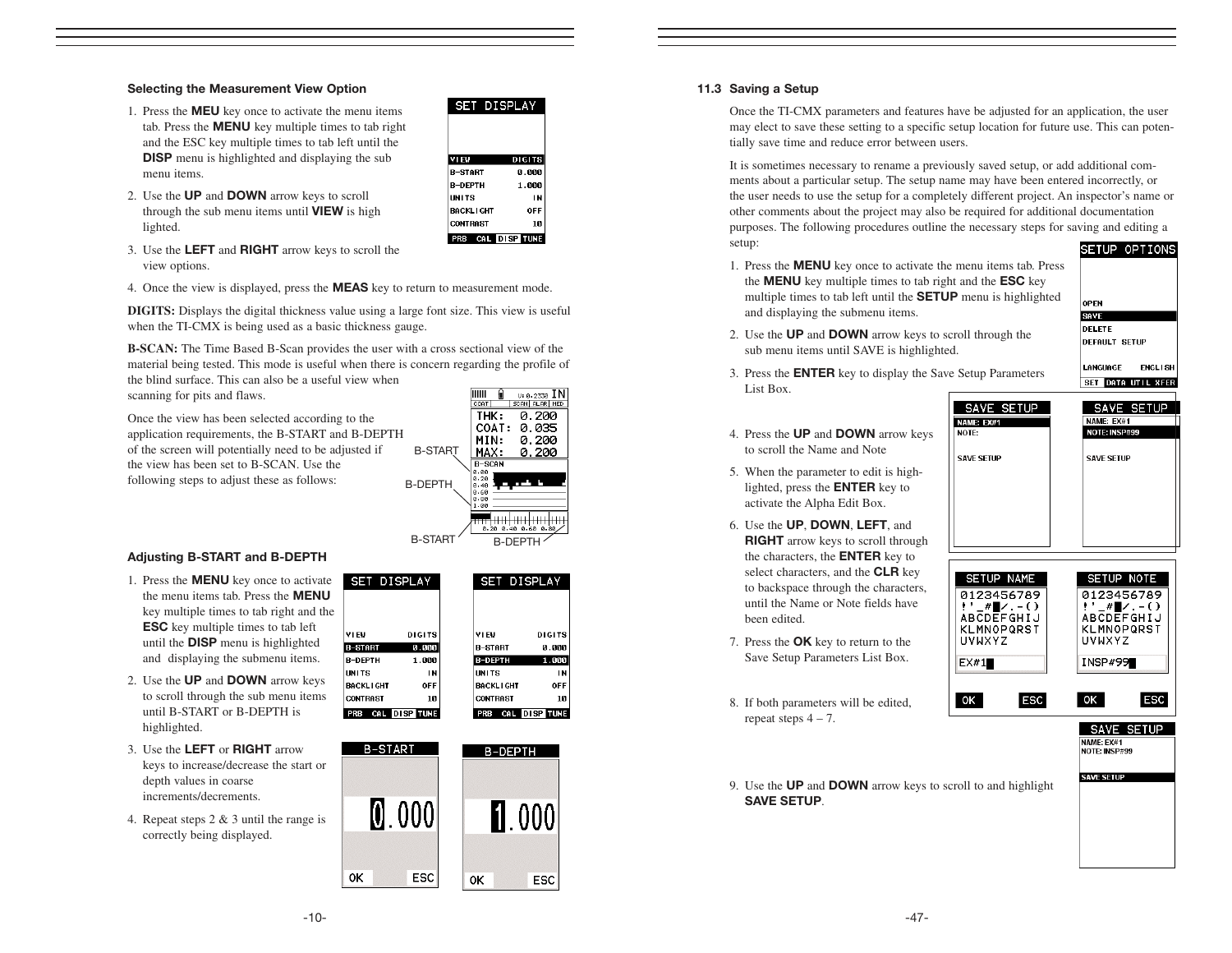#### Selecting the Measurement View Option

- 1. Press the MEU key once to activate the menu items tab. Press the MENU key multiple times to tab right and the ESC key multiple times to tab left until the **DISP** menu is highlighted and displaying the sub menu items.
- 2. Use the UP and DOWN arrow keys to scroll through the sub menu items until **VIEW** is high lighted.

| EW               | <b>DIGITS</b> |
|------------------|---------------|
| R-START          | 0.000         |
| <b>R-DFPTH</b>   | 1.000         |
| <b>INITS</b>     | IN            |
| <b>BACKLIGHT</b> | OFF           |
| <b>CONTRAST</b>  | 10            |

OFT BIODLAY

- 3. Use the LEFT and RIGHT arrow keys to scroll the view options.
- 4. Once the view is displayed, press the **MEAS** key to return to measurement mode.

**DIGITS:** Displays the digital thickness value using a large font size. This view is useful when the TI-CMX is being used as a basic thickness gauge.

**B-SCAN:** The Time Based B-Scan provides the user with a cross sectional view of the material being tested. This mode is useful when there is concern regarding the profile of the blind surface. This can also be a useful view when

SET DISPLAY

 $\circ$ 

scanning for pits and flaws.

Once the view has been selected according to the application requirements, the B-START and B-DEPTH of the screen will potentially need to be adjusted if the view has been set to B-SCAN. Use the following steps to adjust these as follows: B-ST/ **B-DEP** 

|                |                                                  | u: 8. 2330 IN |
|----------------|--------------------------------------------------|---------------|
|                | COAT                                             | SCAN ALAR MED |
|                | THK.                                             | 0.200         |
|                | COAT:                                            | 0.035         |
|                | MIN:                                             | 0.200         |
| <b>B-START</b> | MAX.                                             | 0.200         |
|                | <b>B-SCAN</b>                                    |               |
| 3-DEPTH        | 0.00<br>0.20<br>ค. 40<br>0.60<br>0. SP<br>1 - 00 |               |
|                | 0.20<br>0.40                                     | 0.60<br>0.80  |
| <b>B-STAR</b>  | R-DEP.                                           |               |

SET DISPLAY

#### Adjusting B-START and B-DEPTH

- 1. Press the MENU key once to activate the menu items tab. Press the MENU key multiple times to tab right and the ESC key multiple times to tab left until the DISP menu is highlighted and displaying the submenu items.
- 2. Use the UP and DOWN arrow keys to scroll through the sub menu items until B-START or B-DEPTH is highlighted.
- 3. Use the LEFT or RIGHT arrow keys to increase/decrease the start or depth values in coarse increments/decrements.
- 4. Repeat steps 2 & 3 until the range is correctly being displayed.

| <b>VIEW</b>      | <b>DIGITS</b> |
|------------------|---------------|
| <b>B-START</b>   | 0.000         |
| <b>B-DEPTH</b>   | 1.000         |
| UNITS            | IN            |
| <b>BACKLIGHT</b> | OFF           |
| <b>CONTRAST</b>  | 10            |
| PRB              | CAL DISP TUNE |



#### 11.3 Saving a Setup

List Box.

Once the TI-CMX parameters and features have be adjusted for an application, the user may elect to save these setting to a specific setup location for future use. This can potentially save time and reduce error between users.

It is sometimes necessary to rename a previously saved setup, or add additional comments about a particular setup. The setup name may have been entered incorrectly, or the user needs to use the setup for a completely different project. An inspector's name or other comments about the project may also be required for additional documentation purposes. The following procedures outline the necessary steps for saving and editing a setup: SETUP OPTIONS

- 1. Press the MENU key once to activate the menu items tab. Press the MENU key multiple times to tab right and the ESC key multiple times to tab left until the SETUP menu is highlighted and displaying the submenu items.
	- **OPEN** SAVE DELETE **DEFAULT SETUP**
- 2. Use the UP and DOWN arrow keys to scroll through the sub menu items until SAVE is highlighted.

3. Press the ENTER key to display the Save Setup Parameters

**LANGUAGE ENGLISH** SET DATA UTIL XFER

SAVE SETUP NAME: EX#1

SAVE SETUP NAME: EX#1<br>NOTE: INSP#99

**SAVE SETUP** 

NOTE: INSP#99

- SAVE SETUP NAME: EX#1 NOTE-
- 4. Press the UP and DOWN arrow keys to scroll the Name and Note
- 5. When the parameter to edit is highlighted, press the ENTER key to activate the Alpha Edit Box.
- 6. Use the UP, DOWN, LEFT, and RIGHT arrow keys to scroll through the characters, the ENTER key to select characters, and the CLR key to backspace through the characters, until the Name or Note fields have been edited.
- 7. Press the OK key to return to the Save Setup Parameters List Box.
- 8. If both parameters will be edited, repeat steps  $4 - 7$ .



9. Use the UP and DOWN arrow keys to scroll to and highlight SAVE SETUP.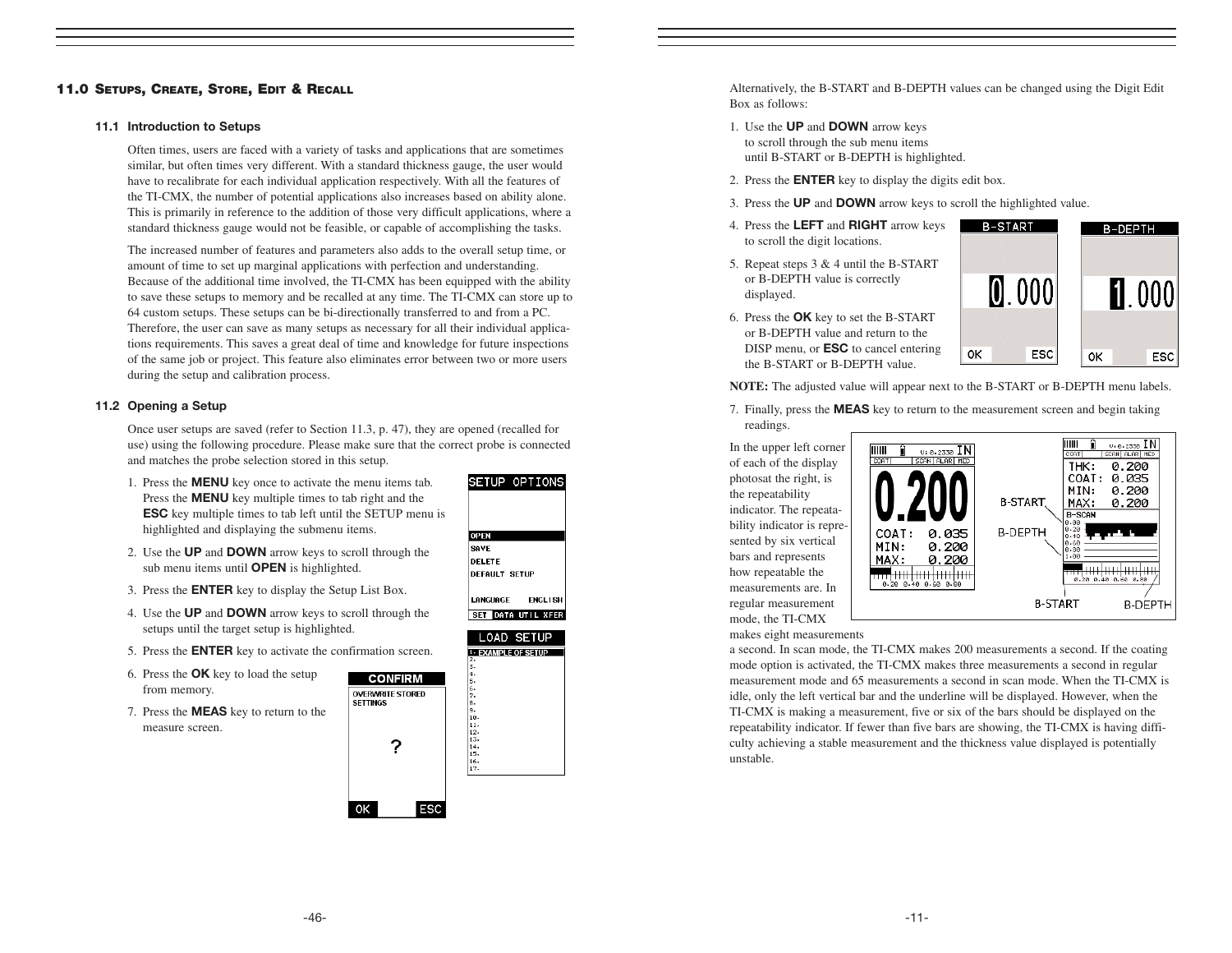#### 11.0 SETUPS, CREATE, STORE, EDIT & RECALL

#### 11.1 Introduction to Setups

Often times, users are faced with a variety of tasks and applications that are sometimes similar, but often times very different. With a standard thickness gauge, the user would have to recalibrate for each individual application respectively. With all the features of the TI-CMX, the number of potential applications also increases based on ability alone. This is primarily in reference to the addition of those very difficult applications, where a standard thickness gauge would not be feasible, or capable of accomplishing the tasks.

The increased number of features and parameters also adds to the overall setup time, or amount of time to set up marginal applications with perfection and understanding. Because of the additional time involved, the TI-CMX has been equipped with the ability to save these setups to memory and be recalled at any time. The TI-CMX can store up to 64 custom setups. These setups can be bi-directionally transferred to and from a PC. Therefore, the user can save as many setups as necessary for all their individual applications requirements. This saves a great deal of time and knowledge for future inspections of the same job or project. This feature also eliminates error between two or more users during the setup and calibration process.

#### 11.2 Opening a Setup

Once user setups are saved (refer to Section 11.3, p. 47), they are opened (recalled for use) using the following procedure. Please make sure that the correct probe is connected and matches the probe selection stored in this setup.

> **CONFIRM OVERWRITE STORED SETTINGS**

> > ?

**ESC** 

 $OK$ 

- 1. Press the MENU key once to activate the menu items tab. Press the **MENU** key multiple times to tab right and the ESC key multiple times to tab left until the SETUP menu is highlighted and displaying the submenu items.
- 2. Use the UP and DOWN arrow keys to scroll through the sub menu items until **OPEN** is highlighted.
- 3. Press the ENTER key to display the Setup List Box.
- 4. Use the UP and DOWN arrow keys to scroll through the setups until the target setup is highlighted.
- 5. Press the ENTER key to activate the confirmation screen.
- 6. Press the OK key to load the setup from memory.
- 7. Press the MEAS key to return to the measure screen.



SETUP OPTIONS

Alternatively, the B-START and B-DEPTH values can be changed using the Digit Edit Box as follows:

- 1. Use the UP and DOWN arrow keys to scroll through the sub menu items until B-START or B-DEPTH is highlighted.
- 2. Press the ENTER key to display the digits edit box.
- 3. Press the UP and DOWN arrow keys to scroll the highlighted value.
- 4. Press the LEFT and RIGHT arrow keys to scroll the digit locations.
- 5. Repeat steps 3 & 4 until the B-START or B-DEPTH value is correctly displayed.



6. Press the OK key to set the B-START or B-DEPTH value and return to the DISP menu, or **ESC** to cancel entering the B-START or B-DEPTH value.

**NOTE:** The adjusted value will appear next to the B-START or B-DEPTH menu labels.

7. Finally, press the MEAS key to return to the measurement screen and begin taking

readings. In the upper left corner of each of the display photosat the right, is the repeatability indicator. The repeatability indicator is represented by six vertical bars and represents how repeatable the measurements are. In regular measurement mode, the TI-CMX



makes eight measurements

a second. In scan mode, the TI-CMX makes 200 measurements a second. If the coating mode option is activated, the TI-CMX makes three measurements a second in regular measurement mode and 65 measurements a second in scan mode. When the TI-CMX is idle, only the left vertical bar and the underline will be displayed. However, when the TI-CMX is making a measurement, five or six of the bars should be displayed on the repeatability indicator. If fewer than five bars are showing, the TI-CMX is having difficulty achieving a stable measurement and the thickness value displayed is potentially unstable.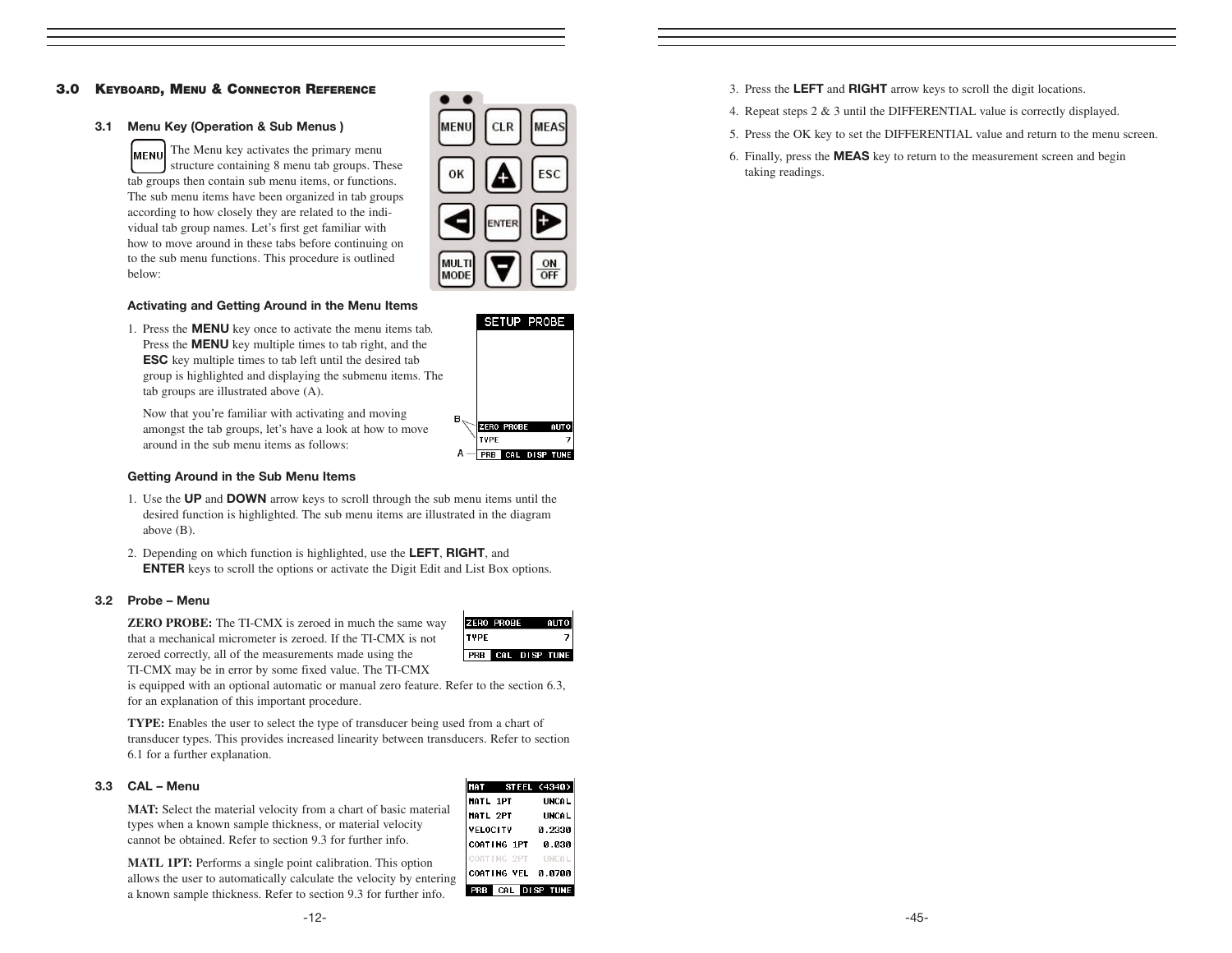#### 3.0 KEYBOARD, MENU & CONNECTOR REFERENCE

#### 3.1 Menu Key (Operation & Sub Menus )

The Menu key activates the primary menu MENU structure containing 8 menu tab groups. These tab groups then contain sub menu items, or functions. The sub menu items have been organized in tab groups according to how closely they are related to the individual tab group names. Let's first get familiar with how to move around in these tabs before continuing on to the sub menu functions. This procedure is outlined below:

| <b>MENU</b>   | <b>CLR</b> | MEAS      |
|---------------|------------|-----------|
| OK            |            | ESC       |
|               | E          |           |
| MULTI<br>MODE |            | ON<br>OFF |

#### Activating and Getting Around in the Menu Items

1. Press the MENU key once to activate the menu items tab. Press the **MENU** key multiple times to tab right, and the ESC key multiple times to tab left until the desired tab group is highlighted and displaying the submenu items. The tab groups are illustrated above (A).

Now that you're familiar with activating and moving amongst the tab groups, let's have a look at how to move around in the sub menu items as follows:

#### Getting Around in the Sub Menu Items

- 1. Use the UP and DOWN arrow keys to scroll through the sub menu items until the desired function is highlighted. The sub menu items are illustrated in the diagram above (B).
- 2. Depending on which function is highlighted, use the **LEFT, RIGHT**, and ENTER keys to scroll the options or activate the Digit Edit and List Box options.

#### 3.2 Probe – Menu

**ZERO PROBE:** The TI-CMX is zeroed in much the same way that a mechanical micrometer is zeroed. If the TI-CMX is not zeroed correctly, all of the measurements made using the TI-CMX may be in error by some fixed value. The TI-CMX



is equipped with an optional automatic or manual zero feature. Refer to the section 6.3, for an explanation of this important procedure.

**TYPE:** Enables the user to select the type of transducer being used from a chart of transducer types. This provides increased linearity between transducers. Refer to section 6.1 for a further explanation.

#### 3.3 CAL – Menu

**MAT:** Select the material velocity from a chart of basic material types when a known sample thickness, or material velocity cannot be obtained. Refer to section 9.3 for further info.

**MATL 1PT:** Performs a single point calibration. This option allows the user to automatically calculate the velocity by entering a known sample thickness. Refer to section 9.3 for further info.

|                 |             | MAT STEEL (4340)     |
|-----------------|-------------|----------------------|
| <b>MATL 1PT</b> |             | <b>UNCAL</b>         |
| <b>MATL 2PT</b> |             | <b>UNCAL</b>         |
| <b>VELOCITY</b> |             | 0.2330               |
|                 | COATING 1PT | 0.030                |
|                 | COATING 2PT | <b>IINCAL</b>        |
|                 |             | COATING VEL 0.0700   |
|                 |             | <b>CAL DISP TUNE</b> |

- 3. Press the LEFT and RIGHT arrow keys to scroll the digit locations.
- 4. Repeat steps 2 & 3 until the DIFFERENTIAL value is correctly displayed.
- 5. Press the OK key to set the DIFFERENTIAL value and return to the menu screen.
- 6. Finally, press the MEAS key to return to the measurement screen and begin taking readings.



A - PRB CAL DISP TUNE

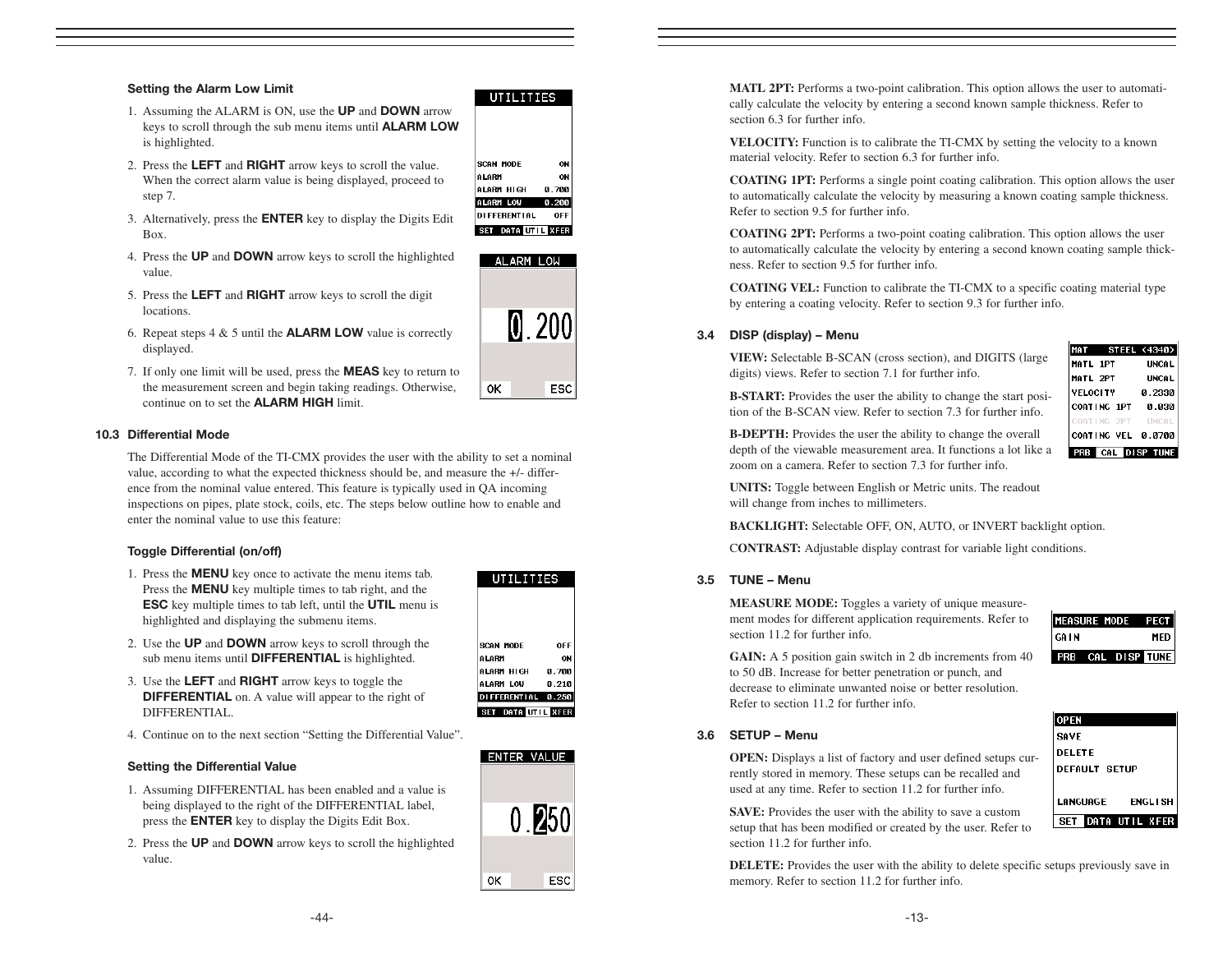#### Setting the Alarm Low Limit

- 1. Assuming the ALARM is ON, use the UP and DOWN arrow keys to scroll through the sub menu items until ALARM LOW is highlighted.
- 2. Press the LEFT and RIGHT arrow keys to scroll the value. When the correct alarm value is being displayed, proceed to step 7.
- 3. Alternatively, press the ENTER key to display the Digits Edit Box.
- 4. Press the UP and DOWN arrow keys to scroll the highlighted value.
- 5. Press the LEFT and RIGHT arrow keys to scroll the digit **locations**
- 6. Repeat steps  $4 \& 5$  until the **ALARM LOW** value is correctly displayed.
- 7. If only one limit will be used, press the MEAS key to return to the measurement screen and begin taking readings. Otherwise, continue on to set the ALARM HIGH limit.

#### 10.3 Differential Mode

The Differential Mode of the TI-CMX provides the user with the ability to set a nominal value, according to what the expected thickness should be, and measure the +/- difference from the nominal value entered. This feature is typically used in QA incoming inspections on pipes, plate stock, coils, etc. The steps below outline how to enable and enter the nominal value to use this feature:

#### Toggle Differential (on/off)

- 1. Press the MENU key once to activate the menu items tab. Press the **MENU** key multiple times to tab right, and the ESC key multiple times to tab left, until the UTIL menu is highlighted and displaying the submenu items.
- 2. Use the UP and DOWN arrow keys to scroll through the sub menu items until **DIFFERENTIAL** is highlighted.
- 3. Use the LEFT and RIGHT arrow keys to toggle the DIFFERENTIAL on. A value will appear to the right of DIFFERENTIAL.
- 4. Continue on to the next section "Setting the Differential Value".

#### Setting the Differential Value

- 1. Assuming DIFFERENTIAL has been enabled and a value is being displayed to the right of the DIFFERENTIAL label, press the ENTER key to display the Digits Edit Box.
- 2. Press the UP and DOWN arrow keys to scroll the highlighted value.

| SCAN MODE             | OFF   |
|-----------------------|-------|
| ALARM                 | ON    |
|                       |       |
| ALARM HIGH            | 0.700 |
| ALARM LOW             | 0.210 |
|                       |       |
| DIFFERENTIAL 0.250    |       |
|                       |       |
| DATA UTIL XFER<br>SET |       |
|                       |       |





**ESC** 

0K

#### **MATL 2PT:** Performs a two-point calibration. This option allows the user to automatically calculate the velocity by entering a second known sample thickness. Refer to section 6.3 for further info.

**VELOCITY:** Function is to calibrate the TI-CMX by setting the velocity to a known material velocity. Refer to section 6.3 for further info.

**COATING 1PT:** Performs a single point coating calibration. This option allows the user to automatically calculate the velocity by measuring a known coating sample thickness. Refer to section 9.5 for further info.

**COATING 2PT:** Performs a two-point coating calibration. This option allows the user to automatically calculate the velocity by entering a second known coating sample thickness. Refer to section 9.5 for further info.

**COATING VEL:** Function to calibrate the TI-CMX to a specific coating material type by entering a coating velocity. Refer to section 9.3 for further info.

#### 3.4 DISP (display) – Menu

**VIEW:** Selectable B-SCAN (cross section), and DIGITS (large digits) views. Refer to section 7.1 for further info.

**B-START:** Provides the user the ability to change the start position of the B-SCAN view. Refer to section 7.3 for further info.

**MAT STEEL (4340)** MATL 1PT **UNCAL** MATL 2PT **UNCAL VELOCITY** 0.2330 COATING 1PT 0.030 COATING 2PT **UNCA** COATING VEL 0.0700 PRB CAL DISP TUNE

**B-DEPTH:** Provides the user the ability to change the overall depth of the viewable measurement area. It functions a lot like a zoom on a camera. Refer to section 7.3 for further info.

**UNITS:** Toggle between English or Metric units. The readout will change from inches to millimeters.

**BACKLIGHT:** Selectable OFF, ON, AUTO, or INVERT backlight option.

C**ONTRAST:** Adjustable display contrast for variable light conditions.

#### 3.5 TUNE – Menu

**MEASURE MODE:** Toggles a variety of unique measurement modes for different application requirements. Refer to section 11.2 for further info.

|             | MEASURE MODE |               | PECT |
|-------------|--------------|---------------|------|
| <b>GAIN</b> |              |               | MED  |
| PRB         |              | CAL DISP TUNE |      |

GAIN: A 5 position gain switch in 2 db increments from 40 to 50 dB. Increase for better penetration or punch, and decrease to eliminate unwanted noise or better resolution. Refer to section 11.2 for further info.

#### 3.6 SETUP – Menu

**OPEN:** Displays a list of factory and user defined setups currently stored in memory. These setups can be recalled and used at any time. Refer to section 11.2 for further info.

**SAVE:** Provides the user with the ability to save a custom setup that has been modified or created by the user. Refer to section 11.2 for further info.

**DELETE:** Provides the user with the ability to delete specific setups previously save in memory. Refer to section 11.2 for further info.



 $\mathbf{0}$ . 200 0K ESC

ON

ON

0.700

 $0.200$ 

OFF

**UTILITIES** 

SCAN MODE

ALARM HIGH

**ALARM LOW** 

**DIFFERENTIAL** 

SET DATA UTTL XFER ALARM LOW

ALARM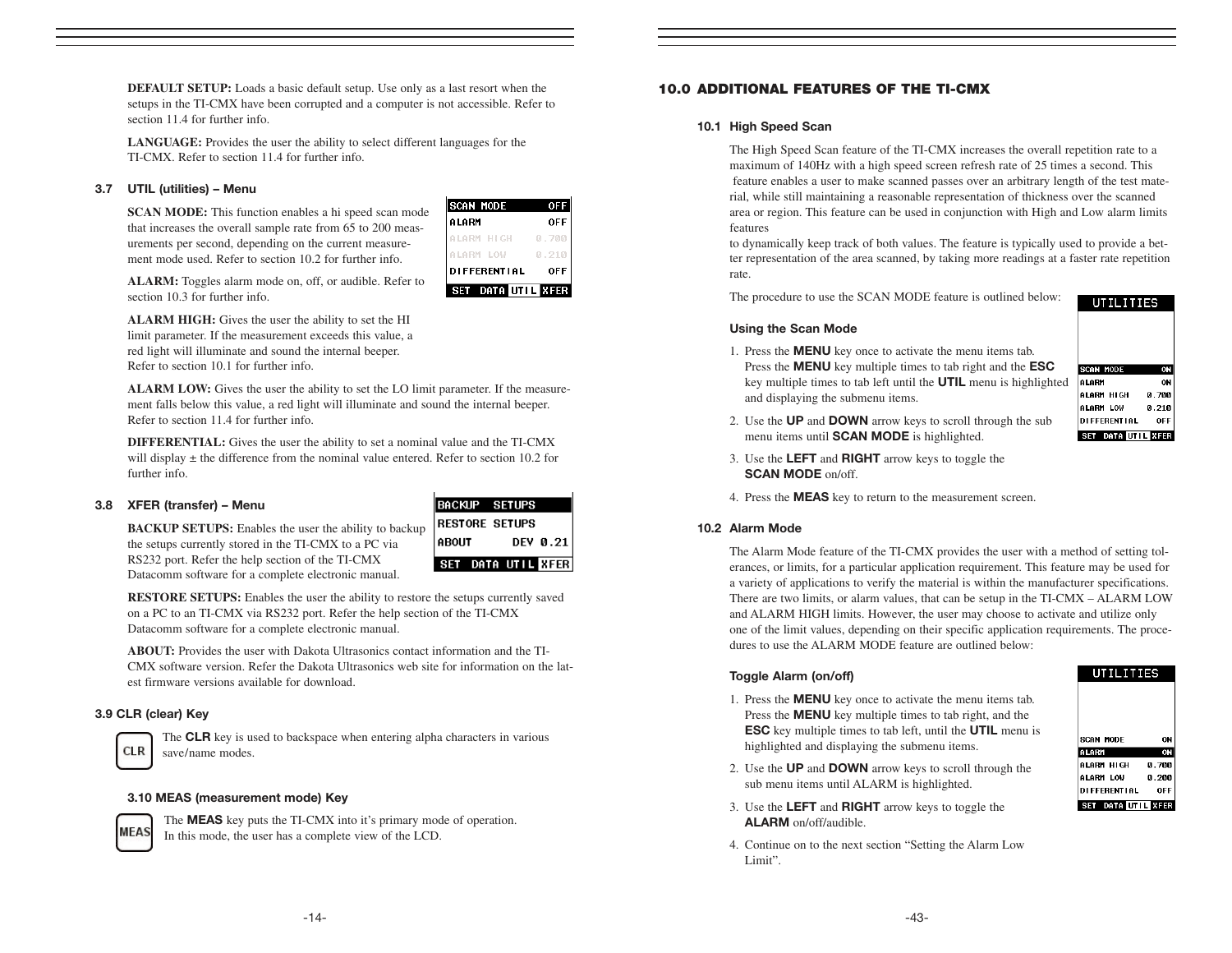**DEFAULT SETUP:** Loads a basic default setup. Use only as a last resort when the setups in the TI-CMX have been corrupted and a computer is not accessible. Refer to section 11.4 for further info.

**LANGUAGE:** Provides the user the ability to select different languages for the TI-CMX. Refer to section 11.4 for further info.

#### 3.7 UTIL (utilities) – Menu

**SCAN MODE:** This function enables a hi speed scan mode that increases the overall sample rate from 65 to 200 measurements per second, depending on the current measurement mode used. Refer to section 10.2 for further info.

| <b>OFF</b>         |
|--------------------|
| <b>OFF</b>         |
| 0.700              |
| и                  |
| 0FF                |
| SET DATA UTIL XFER |

**ALARM:** Toggles alarm mode on, off, or audible. Refer to section 10.3 for further info.

**ALARM HIGH:** Gives the user the ability to set the HI limit parameter. If the measurement exceeds this value, a red light will illuminate and sound the internal beeper. Refer to section 10.1 for further info.

**ALARM LOW:** Gives the user the ability to set the LO limit parameter. If the measurement falls below this value, a red light will illuminate and sound the internal beeper. Refer to section 11.4 for further info.

**DIFFERENTIAL:** Gives the user the ability to set a nominal value and the TI-CMX will display  $\pm$  the difference from the nominal value entered. Refer to section 10.2 for further info.

#### 3.8 XFER (transfer) – Menu

**BACKUP SETUPS:** Enables the user the ability to backup the setups currently stored in the TI-CMX to a PC via RS232 port. Refer the help section of the TI-CMX Datacomm software for a complete electronic manual.

|                       | <b>BACKUP SETUPS</b> |  |                    |
|-----------------------|----------------------|--|--------------------|
| <b>RESTORE SETUPS</b> |                      |  |                    |
| <b>ABOUT</b>          |                      |  | DEV 0.21           |
|                       |                      |  | SET DATA UTIL KEER |

**RESTORE SETUPS:** Enables the user the ability to restore the setups currently saved on a PC to an TI-CMX via RS232 port. Refer the help section of the TI-CMX Datacomm software for a complete electronic manual.

**ABOUT:** Provides the user with Dakota Ultrasonics contact information and the TI-CMX software version. Refer the Dakota Ultrasonics web site for information on the latest firmware versions available for download.

#### 3.9 CLR (clear) Key



The CLR key is used to backspace when entering alpha characters in various save/name modes.

#### 3.10 MEAS (measurement mode) Key



The **MEAS** key puts the TI-CMX into it's primary mode of operation. In this mode, the user has a complete view of the LCD.

#### 10.0 ADDITIONAL FEATURES OF THE TI-CMX

#### 10.1 High Speed Scan

The High Speed Scan feature of the TI-CMX increases the overall repetition rate to a maximum of 140Hz with a high speed screen refresh rate of 25 times a second. This feature enables a user to make scanned passes over an arbitrary length of the test material, while still maintaining a reasonable representation of thickness over the scanned area or region. This feature can be used in conjunction with High and Low alarm limits features

to dynamically keep track of both values. The feature is typically used to provide a better representation of the area scanned, by taking more readings at a faster rate repetition rate.

The procedure to use the SCAN MODE feature is outlined below:

#### Using the Scan Mode

1. Press the MENU key once to activate the menu items tab. Press the **MENU** key multiple times to tab right and the **ESC** key multiple times to tab left until the UTIL menu is highlighted and displaying the submenu items.

| ON             |
|----------------|
| ON             |
| 0.700          |
| 0.210          |
| OFF            |
| DATA UTIL XFER |

UTILITIES

- 2. Use the UP and DOWN arrow keys to scroll through the sub menu items until SCAN MODE is highlighted.
- 3. Use the LEFT and RIGHT arrow keys to toggle the SCAN MODE on/off.
- 4. Press the MEAS key to return to the measurement screen.

#### 10.2 Alarm Mode

The Alarm Mode feature of the TI-CMX provides the user with a method of setting tolerances, or limits, for a particular application requirement. This feature may be used for a variety of applications to verify the material is within the manufacturer specifications. There are two limits, or alarm values, that can be setup in the TI-CMX – ALARM LOW and ALARM HIGH limits. However, the user may choose to activate and utilize only one of the limit values, depending on their specific application requirements. The procedures to use the ALARM MODE feature are outlined below:

#### Toggle Alarm (on/off)

- 1. Press the MENU key once to activate the menu items tab. Press the MENU key multiple times to tab right, and the ESC key multiple times to tab left, until the UTIL menu is highlighted and displaying the submenu items.
- 2. Use the UP and DOWN arrow keys to scroll through the sub menu items until ALARM is highlighted.
- 3. Use the LEFT and RIGHT arrow keys to toggle the ALARM on/off/audible.
- 4. Continue on to the next section "Setting the Alarm Low Limit".

| <b>SCAN MODE</b>           | ON         |
|----------------------------|------------|
| ALARM                      | ON         |
| ALARM HIGH                 | 0.700      |
| ALARM LOW                  | 0.200      |
| <b>DI FFERENT I AL</b>     | <b>OFF</b> |
| SET DATA <b>UTILI</b> XFER |            |

UTILITIES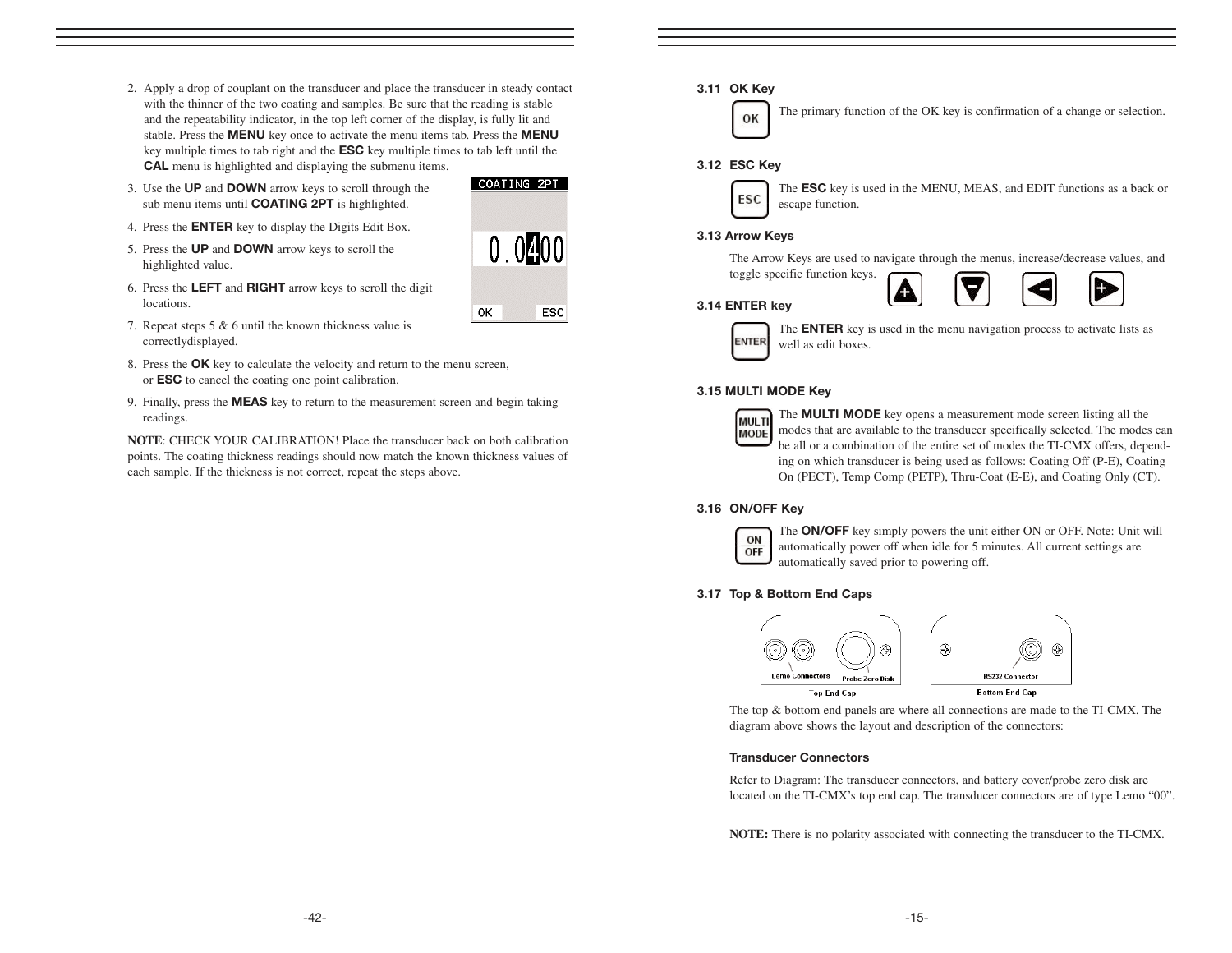- 2. Apply a drop of couplant on the transducer and place the transducer in steady contact with the thinner of the two coating and samples. Be sure that the reading is stable and the repeatability indicator, in the top left corner of the display, is fully lit and stable. Press the MENU key once to activate the menu items tab. Press the MENU key multiple times to tab right and the ESC key multiple times to tab left until the CAL menu is highlighted and displaying the submenu items.
- 3. Use the UP and DOWN arrow keys to scroll through the sub menu items until **COATING 2PT** is highlighted.
- 4. Press the ENTER key to display the Digits Edit Box.
- 5. Press the UP and DOWN arrow keys to scroll the highlighted value.
- 6. Press the LEFT and RIGHT arrow keys to scroll the digit locations.
- 7. Repeat steps 5 & 6 until the known thickness value is correctlydisplayed.
- 8. Press the **OK** key to calculate the velocity and return to the menu screen, or ESC to cancel the coating one point calibration.
- 9. Finally, press the MEAS key to return to the measurement screen and begin taking readings.

**NOTE**: CHECK YOUR CALIBRATION! Place the transducer back on both calibration points. The coating thickness readings should now match the known thickness values of each sample. If the thickness is not correct, repeat the steps above.

# COATING 2PT  $0.0200$ ОK ESC

#### 3.11 OK Key



The primary function of the OK key is confirmation of a change or selection.

#### 3.12 ESC Key



The ESC key is used in the MENU, MEAS, and EDIT functions as a back or escape function.

#### 3.13 Arrow Keys



#### 3.14 ENTER key



The **ENTER** key is used in the menu navigation process to activate lists as well as edit boxes.

#### 3.15 MULTI MODE Key

| ш<br>f I<br>E |
|---------------|
|               |

The MULTI MODE key opens a measurement mode screen listing all the modes that are available to the transducer specifically selected. The modes can be all or a combination of the entire set of modes the TI-CMX offers, depending on which transducer is being used as follows: Coating Off (P-E), Coating On (PECT), Temp Comp (PETP), Thru-Coat (E-E), and Coating Only (CT).

#### 3.16 ON/OFF Key



The ON/OFF key simply powers the unit either ON or OFF. Note: Unit will automatically power off when idle for 5 minutes. All current settings are automatically saved prior to powering off.

#### 3.17 Top & Bottom End Caps



The top & bottom end panels are where all connections are made to the TI-CMX. The diagram above shows the layout and description of the connectors:

#### Transducer Connectors

Refer to Diagram: The transducer connectors, and battery cover/probe zero disk are located on the TI-CMX's top end cap. The transducer connectors are of type Lemo "00".

**NOTE:** There is no polarity associated with connecting the transducer to the TI-CMX.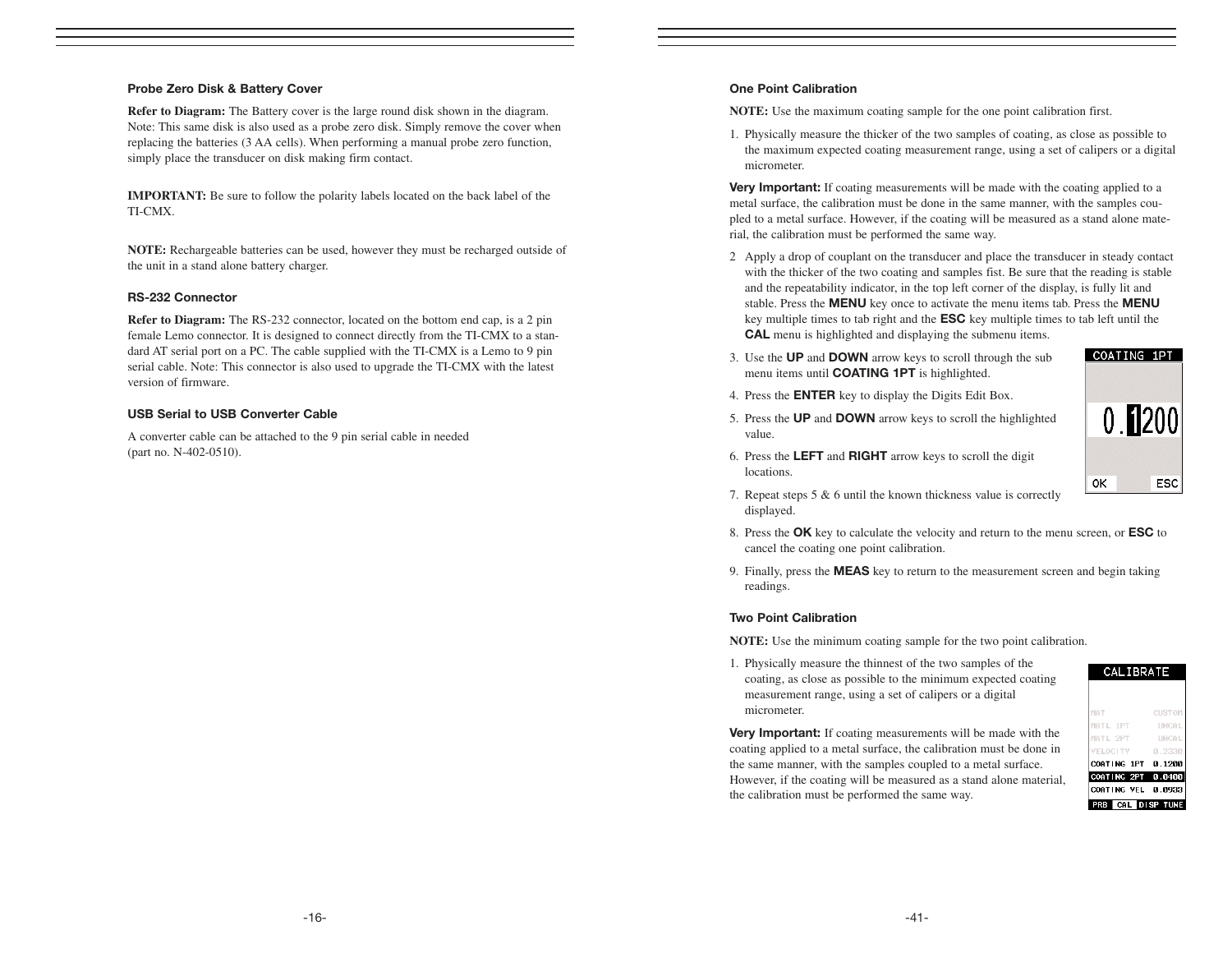#### Probe Zero Disk & Battery Cover

**Refer to Diagram:** The Battery cover is the large round disk shown in the diagram. Note: This same disk is also used as a probe zero disk. Simply remove the cover when replacing the batteries (3 AA cells). When performing a manual probe zero function, simply place the transducer on disk making firm contact.

**IMPORTANT:** Be sure to follow the polarity labels located on the back label of the TI-CMX.

**NOTE:** Rechargeable batteries can be used, however they must be recharged outside of the unit in a stand alone battery charger.

#### RS-232 Connector

**Refer to Diagram:** The RS-232 connector, located on the bottom end cap, is a 2 pin female Lemo connector. It is designed to connect directly from the TI-CMX to a standard AT serial port on a PC. The cable supplied with the TI-CMX is a Lemo to 9 pin serial cable. Note: This connector is also used to upgrade the TI-CMX with the latest version of firmware.

#### USB Serial to USB Converter Cable

A converter cable can be attached to the 9 pin serial cable in needed (part no. N-402-0510).

#### One Point Calibration

**NOTE:** Use the maximum coating sample for the one point calibration first.

1. Physically measure the thicker of the two samples of coating, as close as possible to the maximum expected coating measurement range, using a set of calipers or a digital micrometer.

Very Important: If coating measurements will be made with the coating applied to a metal surface, the calibration must be done in the same manner, with the samples coupled to a metal surface. However, if the coating will be measured as a stand alone material, the calibration must be performed the same way.

- 2 Apply a drop of couplant on the transducer and place the transducer in steady contact with the thicker of the two coating and samples fist. Be sure that the reading is stable and the repeatability indicator, in the top left corner of the display, is fully lit and stable. Press the MENU key once to activate the menu items tab. Press the MENU key multiple times to tab right and the ESC key multiple times to tab left until the CAL menu is highlighted and displaying the submenu items.
- 3. Use the UP and DOWN arrow keys to scroll through the sub menu items until COATING 1PT is highlighted.
- 4. Press the ENTER key to display the Digits Edit Box.
- 5. Press the UP and DOWN arrow keys to scroll the highlighted value.



- 6. Press the LEFT and RIGHT arrow keys to scroll the digit locations.
- 7. Repeat steps 5 & 6 until the known thickness value is correctly displayed.
- 8. Press the OK key to calculate the velocity and return to the menu screen, or ESC to cancel the coating one point calibration.
- 9. Finally, press the MEAS key to return to the measurement screen and begin taking readings.

#### Two Point Calibration

**NOTE:** Use the minimum coating sample for the two point calibration.

1. Physically measure the thinnest of the two samples of the coating, as close as possible to the minimum expected coating measurement range, using a set of calipers or a digital micrometer.

**Very Important:** If coating measurements will be made with the coating applied to a metal surface, the calibration must be done in the same manner, with the samples coupled to a metal surface. However, if the coating will be measured as a stand alone material, the calibration must be performed the same way.

| MAT                | <b>CUSTOM</b> |
|--------------------|---------------|
| MATL IPT           | <b>UNCAL</b>  |
| MATL 2PT           | <b>INCAL</b>  |
| <b>VELOCITY</b>    | 0.2330        |
| COATING 1PT        | 0.1200        |
| COATING 2PT 0.0400 |               |
| COATING VEL 0.0933 |               |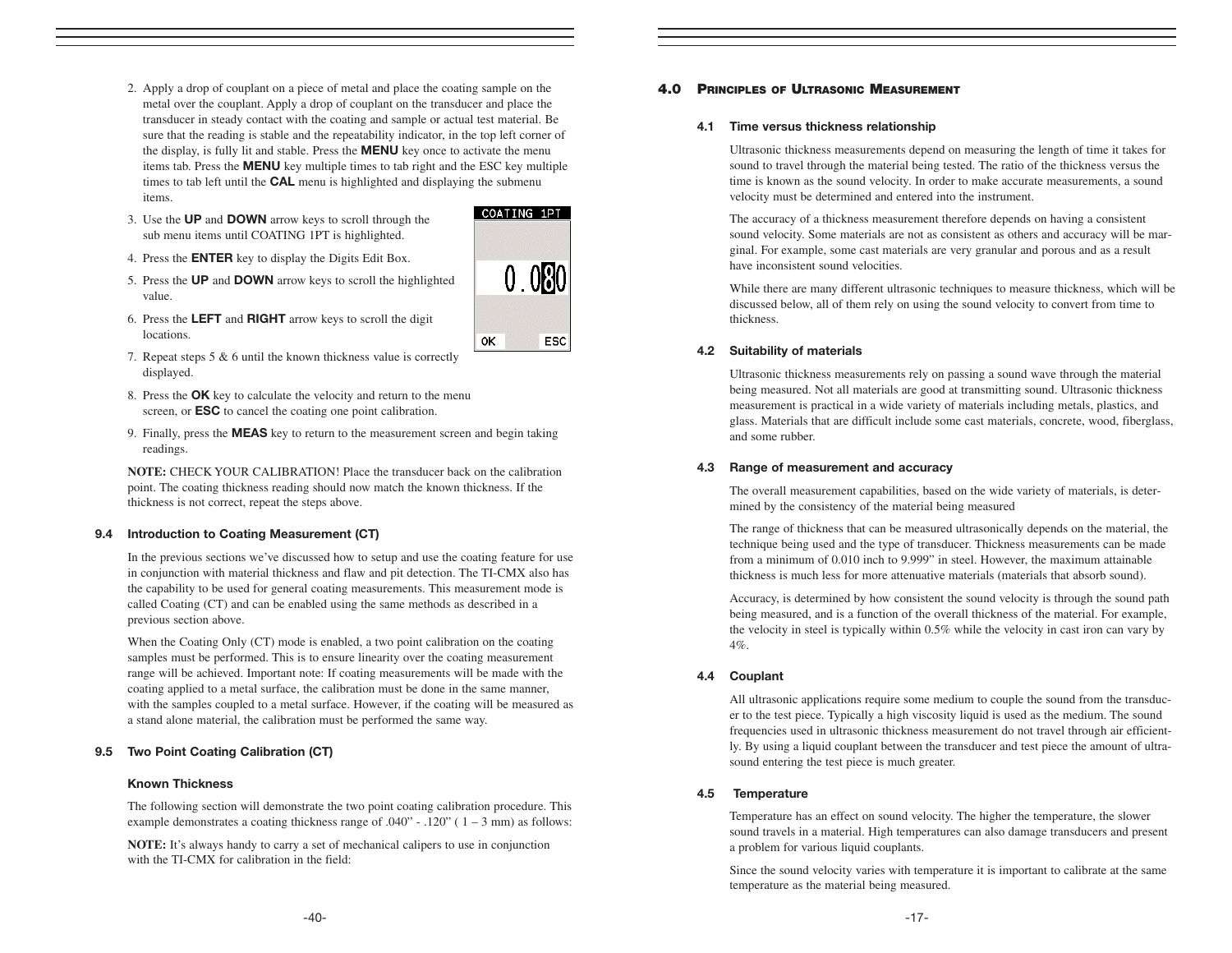- 2. Apply a drop of couplant on a piece of metal and place the coating sample on the metal over the couplant. Apply a drop of couplant on the transducer and place the transducer in steady contact with the coating and sample or actual test material. Be sure that the reading is stable and the repeatability indicator, in the top left corner of the display, is fully lit and stable. Press the **MENU** key once to activate the menu items tab. Press the MENU key multiple times to tab right and the ESC key multiple times to tab left until the **CAL** menu is highlighted and displaying the submenu items.
- 3. Use the UP and DOWN arrow keys to scroll through the sub menu items until COATING 1PT is highlighted.
- 4. Press the ENTER key to display the Digits Edit Box.
- 5. Press the UP and DOWN arrow keys to scroll the highlighted value.
- 6. Press the LEFT and RIGHT arrow keys to scroll the digit locations.
- 7. Repeat steps 5 & 6 until the known thickness value is correctly displayed.
- 8. Press the OK key to calculate the velocity and return to the menu screen, or ESC to cancel the coating one point calibration.
- 9. Finally, press the **MEAS** key to return to the measurement screen and begin taking readings.

**NOTE:** CHECK YOUR CALIBRATION! Place the transducer back on the calibration point. The coating thickness reading should now match the known thickness. If the thickness is not correct, repeat the steps above.

#### 9.4 Introduction to Coating Measurement (CT)

In the previous sections we've discussed how to setup and use the coating feature for use in conjunction with material thickness and flaw and pit detection. The TI-CMX also has the capability to be used for general coating measurements. This measurement mode is called Coating (CT) and can be enabled using the same methods as described in a previous section above.

When the Coating Only (CT) mode is enabled, a two point calibration on the coating samples must be performed. This is to ensure linearity over the coating measurement range will be achieved. Important note: If coating measurements will be made with the coating applied to a metal surface, the calibration must be done in the same manner, with the samples coupled to a metal surface. However, if the coating will be measured as a stand alone material, the calibration must be performed the same way.

#### 9.5 Two Point Coating Calibration (CT)

#### Known Thickness

The following section will demonstrate the two point coating calibration procedure. This example demonstrates a coating thickness range of  $.040^{\circ}$  -  $.120^{\circ}$  (1 – 3 mm) as follows:

**NOTE:** It's always handy to carry a set of mechanical calipers to use in conjunction with the TI-CMX for calibration in the field:

#### 4.0 PRINCIPLES OF ULTRASONIC MEASUREMENT

#### 4.1 Time versus thickness relationship

Ultrasonic thickness measurements depend on measuring the length of time it takes for sound to travel through the material being tested. The ratio of the thickness versus the time is known as the sound velocity. In order to make accurate measurements, a sound velocity must be determined and entered into the instrument.

The accuracy of a thickness measurement therefore depends on having a consistent sound velocity. Some materials are not as consistent as others and accuracy will be marginal. For example, some cast materials are very granular and porous and as a result have inconsistent sound velocities.

While there are many different ultrasonic techniques to measure thickness, which will be discussed below, all of them rely on using the sound velocity to convert from time to thickness.

#### 4.2 Suitability of materials

Ultrasonic thickness measurements rely on passing a sound wave through the material being measured. Not all materials are good at transmitting sound. Ultrasonic thickness measurement is practical in a wide variety of materials including metals, plastics, and glass. Materials that are difficult include some cast materials, concrete, wood, fiberglass, and some rubber.

#### 4.3 Range of measurement and accuracy

The overall measurement capabilities, based on the wide variety of materials, is determined by the consistency of the material being measured

The range of thickness that can be measured ultrasonically depends on the material, the technique being used and the type of transducer. Thickness measurements can be made from a minimum of 0.010 inch to 9.999" in steel. However, the maximum attainable thickness is much less for more attenuative materials (materials that absorb sound).

Accuracy, is determined by how consistent the sound velocity is through the sound path being measured, and is a function of the overall thickness of the material. For example, the velocity in steel is typically within 0.5% while the velocity in cast iron can vary by 4%.

#### 4.4 Couplant

All ultrasonic applications require some medium to couple the sound from the transducer to the test piece. Typically a high viscosity liquid is used as the medium. The sound frequencies used in ultrasonic thickness measurement do not travel through air efficiently. By using a liquid couplant between the transducer and test piece the amount of ultrasound entering the test piece is much greater.

#### 4.5 Temperature

Temperature has an effect on sound velocity. The higher the temperature, the slower sound travels in a material. High temperatures can also damage transducers and present a problem for various liquid couplants.

Since the sound velocity varies with temperature it is important to calibrate at the same temperature as the material being measured.

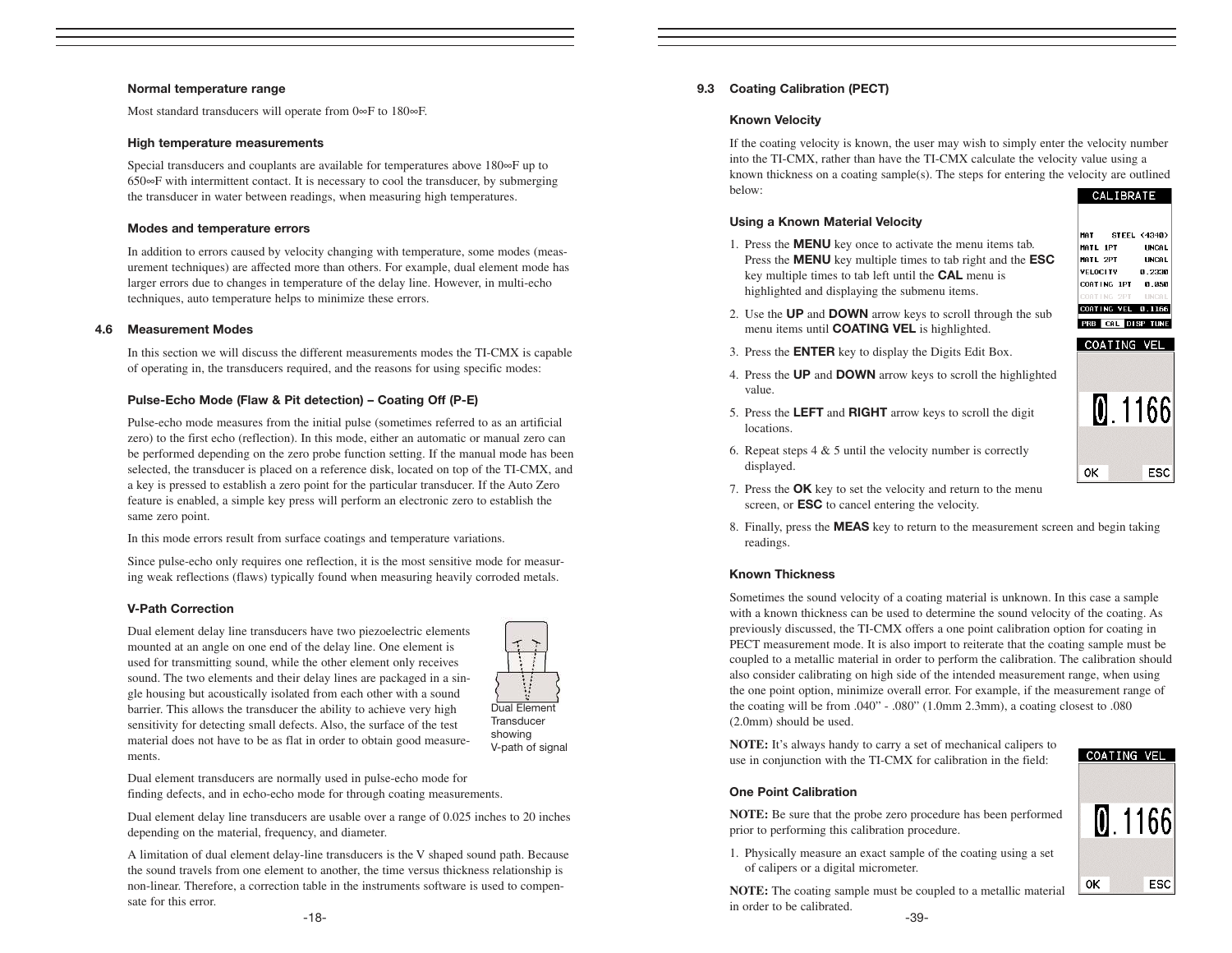#### Normal temperature range

Most standard transducers will operate from 0∞F to 180∞F.

#### High temperature measurements

Special transducers and couplants are available for temperatures above 180∞F up to 650∞F with intermittent contact. It is necessary to cool the transducer, by submerging the transducer in water between readings, when measuring high temperatures.

#### Modes and temperature errors

In addition to errors caused by velocity changing with temperature, some modes (measurement techniques) are affected more than others. For example, dual element mode has larger errors due to changes in temperature of the delay line. However, in multi-echo techniques, auto temperature helps to minimize these errors.

#### 4.6 Measurement Modes

In this section we will discuss the different measurements modes the TI-CMX is capable of operating in, the transducers required, and the reasons for using specific modes:

#### Pulse-Echo Mode (Flaw & Pit detection) – Coating Off (P-E)

Pulse-echo mode measures from the initial pulse (sometimes referred to as an artificial zero) to the first echo (reflection). In this mode, either an automatic or manual zero can be performed depending on the zero probe function setting. If the manual mode has been selected, the transducer is placed on a reference disk, located on top of the TI-CMX, and a key is pressed to establish a zero point for the particular transducer. If the Auto Zero feature is enabled, a simple key press will perform an electronic zero to establish the same zero point.

In this mode errors result from surface coatings and temperature variations.

Since pulse-echo only requires one reflection, it is the most sensitive mode for measuring weak reflections (flaws) typically found when measuring heavily corroded metals.

#### V-Path Correction

Dual element delay line transducers have two piezoelectric elements mounted at an angle on one end of the delay line. One element is used for transmitting sound, while the other element only receives sound. The two elements and their delay lines are packaged in a single housing but acoustically isolated from each other with a sound barrier. This allows the transducer the ability to achieve very high sensitivity for detecting small defects. Also, the surface of the test material does not have to be as flat in order to obtain good measurements.



V-path of signal

Dual element transducers are normally used in pulse-echo mode for finding defects, and in echo-echo mode for through coating measurements.

Dual element delay line transducers are usable over a range of 0.025 inches to 20 inches depending on the material, frequency, and diameter.

A limitation of dual element delay-line transducers is the V shaped sound path. Because the sound travels from one element to another, the time versus thickness relationship is non-linear. Therefore, a correction table in the instruments software is used to compensate for this error.

#### 9.3 Coating Calibration (PECT)

#### Known Velocity

If the coating velocity is known, the user may wish to simply enter the velocity number into the TI-CMX, rather than have the TI-CMX calculate the velocity value using a known thickness on a coating sample(s). The steps for entering the velocity are outlined below: CALIBRATE

#### Using a Known Material Velocity

1. Press the MENU key once to activate the menu items tab. Press the **MENU** key multiple times to tab right and the **ESC** key multiple times to tab left until the CAL menu is highlighted and displaying the submenu items.



COATING VEL

- 2. Use the UP and DOWN arrow keys to scroll through the sub menu items until **COATING VEL** is highlighted.
- 3. Press the ENTER key to display the Digits Edit Box.
- 4. Press the UP and DOWN arrow keys to scroll the highlighted value.
- 5. Press the LEFT and RIGHT arrow keys to scroll the digit locations.



- 6. Repeat steps  $4 \& 5$  until the velocity number is correctly displayed.
- 7. Press the OK key to set the velocity and return to the menu screen, or ESC to cancel entering the velocity.
- 8. Finally, press the MEAS key to return to the measurement screen and begin taking readings.

#### Known Thickness

Sometimes the sound velocity of a coating material is unknown. In this case a sample with a known thickness can be used to determine the sound velocity of the coating. As previously discussed, the TI-CMX offers a one point calibration option for coating in PECT measurement mode. It is also import to reiterate that the coating sample must be coupled to a metallic material in order to perform the calibration. The calibration should also consider calibrating on high side of the intended measurement range, when using the one point option, minimize overall error. For example, if the measurement range of the coating will be from .040" - .080" (1.0mm 2.3mm), a coating closest to .080 (2.0mm) should be used.

**NOTE:** It's always handy to carry a set of mechanical calipers to use in conjunction with the TI-CMX for calibration in the field:

#### One Point Calibration

**NOTE:** Be sure that the probe zero procedure has been performed prior to performing this calibration procedure.

1. Physically measure an exact sample of the coating using a set of calipers or a digital micrometer.

**NOTE:** The coating sample must be coupled to a metallic material in order to be calibrated.

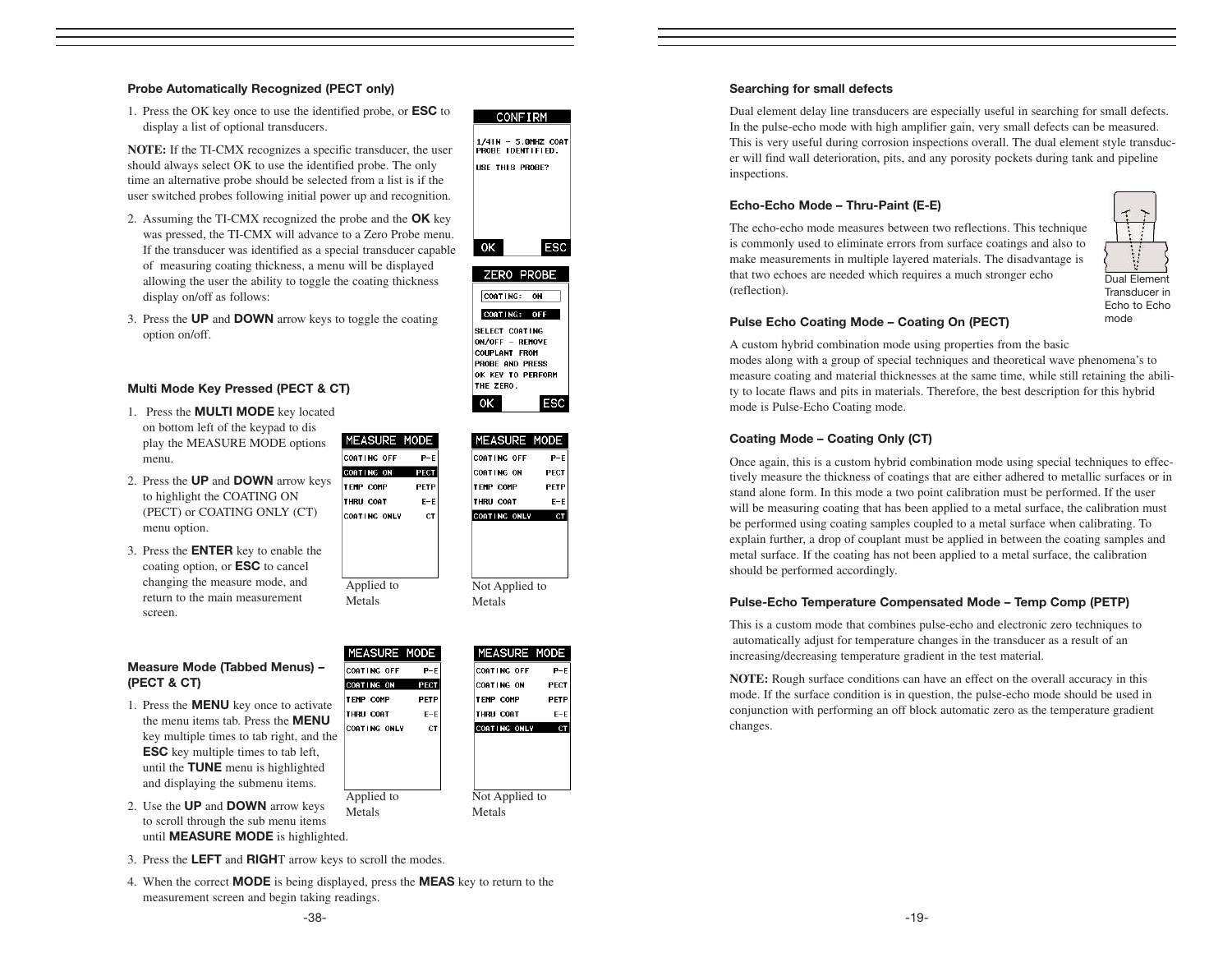#### Probe Automatically Recognized (PECT only)

1. Press the OK key once to use the identified probe, or ESC to display a list of optional transducers.

**NOTE:** If the TI-CMX recognizes a specific transducer, the user should always select OK to use the identified probe. The only time an alternative probe should be selected from a list is if the user switched probes following initial power up and recognition.

- 2. Assuming the TI-CMX recognized the probe and the **OK** key was pressed, the TI-CMX will advance to a Zero Probe menu. If the transducer was identified as a special transducer capable of measuring coating thickness, a menu will be displayed allowing the user the ability to toggle the coating thickness display on/off as follows:
- 1/4IN 5.0MHZ COAT<br>PROBE IDENTIFIED. USE THIS PROBE? ESC OK. ZERO PROBE CONTING: ON

COATING: OFF SELECT COATING ON/OFF - REMOVE COUPLANT FROM PROBE AND PRESS OK KEY TO PERFORM THE ZERO. 0K.

MEASURE MODE

**ESC** 

**CONFIRM** 

3. Press the UP and DOWN arrow keys to toggle the coating option on/off.

#### Multi Mode Key Pressed (PECT & CT)

- 1. Press the MULTI MODE key located on bottom left of the keypad to dis play the MEASURE MODE options menu.
- 2. Press the UP and DOWN arrow keys to highlight the COATING ON (PECT) or COATING ONLY (CT) menu option.
- 3. Press the ENTER key to enable the coating option, or ESC to cancel changing the measure mode, and return to the main measurement screen.

#### Measure Mode (Tabbed Menus) – (PECT & CT)

- 1. Press the MENU key once to activate the menu items tab. Press the MENU key multiple times to tab right, and the ESC key multiple times to tab left, until the TUNE menu is highlighted and displaying the submenu items.
- 2. Use the UP and DOWN arrow keys to scroll through the sub menu items until MEASURE MODE is highlighted.
- 3. Press the LEFT and RIGHT arrow keys to scroll the modes.
- 4. When the correct **MODE** is being displayed, press the **MEAS** key to return to the measurement screen and begin taking readings.

Applied to Metals

**MEASURE** 

COATING OFF

COATING ON

**TEMP COMP** 

THRU COAT

CONTING ONLY

MODE

 $P-E$ 

PECT

PETP

 $E-E$ 

 $CT$ 



Metals

| MEASURE MODE        |             |
|---------------------|-------------|
| COATING OFF         | $P-F$       |
| COATING ON          | <b>PECT</b> |
| <b>TEMP COMP</b>    | PETP        |
| <b>THRU COAT</b>    | $E-E$       |
| <b>COATING ONLY</b> | <b>CT</b>   |
|                     |             |
|                     |             |
|                     |             |
|                     |             |
| Applied to          |             |
| Metals              |             |

#### Searching for small defects

Dual element delay line transducers are especially useful in searching for small defects. In the pulse-echo mode with high amplifier gain, very small defects can be measured. This is very useful during corrosion inspections overall. The dual element style transducer will find wall deterioration, pits, and any porosity pockets during tank and pipeline inspections.

#### Echo-Echo Mode – Thru-Paint (E-E)

The echo-echo mode measures between two reflections. This technique is commonly used to eliminate errors from surface coatings and also to make measurements in multiple layered materials. The disadvantage is that two echoes are needed which requires a much stronger echo (reflection).



mode

#### Pulse Echo Coating Mode – Coating On (PECT)

A custom hybrid combination mode using properties from the basic modes along with a group of special techniques and theoretical wave phenomena's to measure coating and material thicknesses at the same time, while still retaining the ability to locate flaws and pits in materials. Therefore, the best description for this hybrid mode is Pulse-Echo Coating mode.

#### Coating Mode – Coating Only (CT)

Once again, this is a custom hybrid combination mode using special techniques to effectively measure the thickness of coatings that are either adhered to metallic surfaces or in stand alone form. In this mode a two point calibration must be performed. If the user will be measuring coating that has been applied to a metal surface, the calibration must be performed using coating samples coupled to a metal surface when calibrating. To explain further, a drop of couplant must be applied in between the coating samples and metal surface. If the coating has not been applied to a metal surface, the calibration should be performed accordingly.

#### Pulse-Echo Temperature Compensated Mode – Temp Comp (PETP)

This is a custom mode that combines pulse-echo and electronic zero techniques to automatically adjust for temperature changes in the transducer as a result of an increasing/decreasing temperature gradient in the test material.

**NOTE:** Rough surface conditions can have an effect on the overall accuracy in this mode. If the surface condition is in question, the pulse-echo mode should be used in conjunction with performing an off block automatic zero as the temperature gradient changes.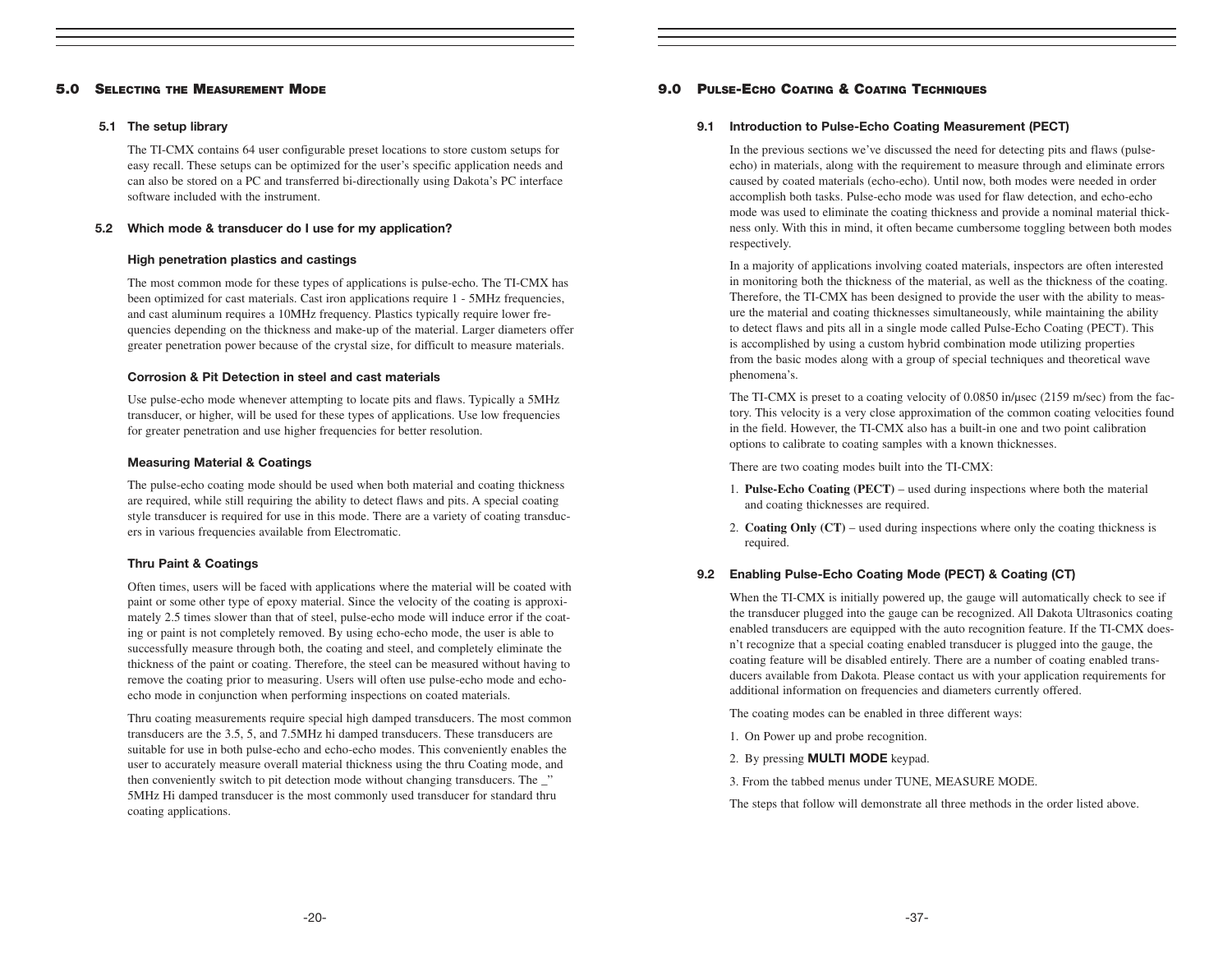#### 5.0 SELECTING THE MEASUREMENT MODE

#### 5.1 The setup library

The TI-CMX contains 64 user configurable preset locations to store custom setups for easy recall. These setups can be optimized for the user's specific application needs and can also be stored on a PC and transferred bi-directionally using Dakota's PC interface software included with the instrument.

#### 5.2 Which mode & transducer do I use for my application?

#### High penetration plastics and castings

The most common mode for these types of applications is pulse-echo. The TI-CMX has been optimized for cast materials. Cast iron applications require 1 - 5MHz frequencies, and cast aluminum requires a 10MHz frequency. Plastics typically require lower frequencies depending on the thickness and make-up of the material. Larger diameters offer greater penetration power because of the crystal size, for difficult to measure materials.

#### Corrosion & Pit Detection in steel and cast materials

Use pulse-echo mode whenever attempting to locate pits and flaws. Typically a 5MHz transducer, or higher, will be used for these types of applications. Use low frequencies for greater penetration and use higher frequencies for better resolution.

#### Measuring Material & Coatings

The pulse-echo coating mode should be used when both material and coating thickness are required, while still requiring the ability to detect flaws and pits. A special coating style transducer is required for use in this mode. There are a variety of coating transducers in various frequencies available from Electromatic.

#### Thru Paint & Coatings

Often times, users will be faced with applications where the material will be coated with paint or some other type of epoxy material. Since the velocity of the coating is approximately 2.5 times slower than that of steel, pulse-echo mode will induce error if the coating or paint is not completely removed. By using echo-echo mode, the user is able to successfully measure through both, the coating and steel, and completely eliminate the thickness of the paint or coating. Therefore, the steel can be measured without having to remove the coating prior to measuring. Users will often use pulse-echo mode and echoecho mode in conjunction when performing inspections on coated materials.

Thru coating measurements require special high damped transducers. The most common transducers are the 3.5, 5, and 7.5MHz hi damped transducers. These transducers are suitable for use in both pulse-echo and echo-echo modes. This conveniently enables the user to accurately measure overall material thickness using the thru Coating mode, and then conveniently switch to pit detection mode without changing transducers. The \_" 5MHz Hi damped transducer is the most commonly used transducer for standard thru coating applications.

#### 9.0 PULSE-ECHO COATING & COATING TECHNIQUES

#### 9.1 Introduction to Pulse-Echo Coating Measurement (PECT)

In the previous sections we've discussed the need for detecting pits and flaws (pulseecho) in materials, along with the requirement to measure through and eliminate errors caused by coated materials (echo-echo). Until now, both modes were needed in order accomplish both tasks. Pulse-echo mode was used for flaw detection, and echo-echo mode was used to eliminate the coating thickness and provide a nominal material thickness only. With this in mind, it often became cumbersome toggling between both modes respectively.

In a majority of applications involving coated materials, inspectors are often interested in monitoring both the thickness of the material, as well as the thickness of the coating. Therefore, the TI-CMX has been designed to provide the user with the ability to measure the material and coating thicknesses simultaneously, while maintaining the ability to detect flaws and pits all in a single mode called Pulse-Echo Coating (PECT). This is accomplished by using a custom hybrid combination mode utilizing properties from the basic modes along with a group of special techniques and theoretical wave phenomena's.

The TI-CMX is preset to a coating velocity of 0.0850 in/usec (2159 m/sec) from the factory. This velocity is a very close approximation of the common coating velocities found in the field. However, the TI-CMX also has a built-in one and two point calibration options to calibrate to coating samples with a known thicknesses.

There are two coating modes built into the TI-CMX:

- 1. **Pulse-Echo Coating (PECT)**  used during inspections where both the material and coating thicknesses are required.
- 2. **Coating Only (CT)** used during inspections where only the coating thickness is required.

#### 9.2 Enabling Pulse-Echo Coating Mode (PECT) & Coating (CT)

When the TI-CMX is initially powered up, the gauge will automatically check to see if the transducer plugged into the gauge can be recognized. All Dakota Ultrasonics coating enabled transducers are equipped with the auto recognition feature. If the TI-CMX doesn't recognize that a special coating enabled transducer is plugged into the gauge, the coating feature will be disabled entirely. There are a number of coating enabled transducers available from Dakota. Please contact us with your application requirements for additional information on frequencies and diameters currently offered.

The coating modes can be enabled in three different ways:

- 1. On Power up and probe recognition.
- 2. By pressing MULTI MODE keypad.
- 3. From the tabbed menus under TUNE, MEASURE MODE.

The steps that follow will demonstrate all three methods in the order listed above.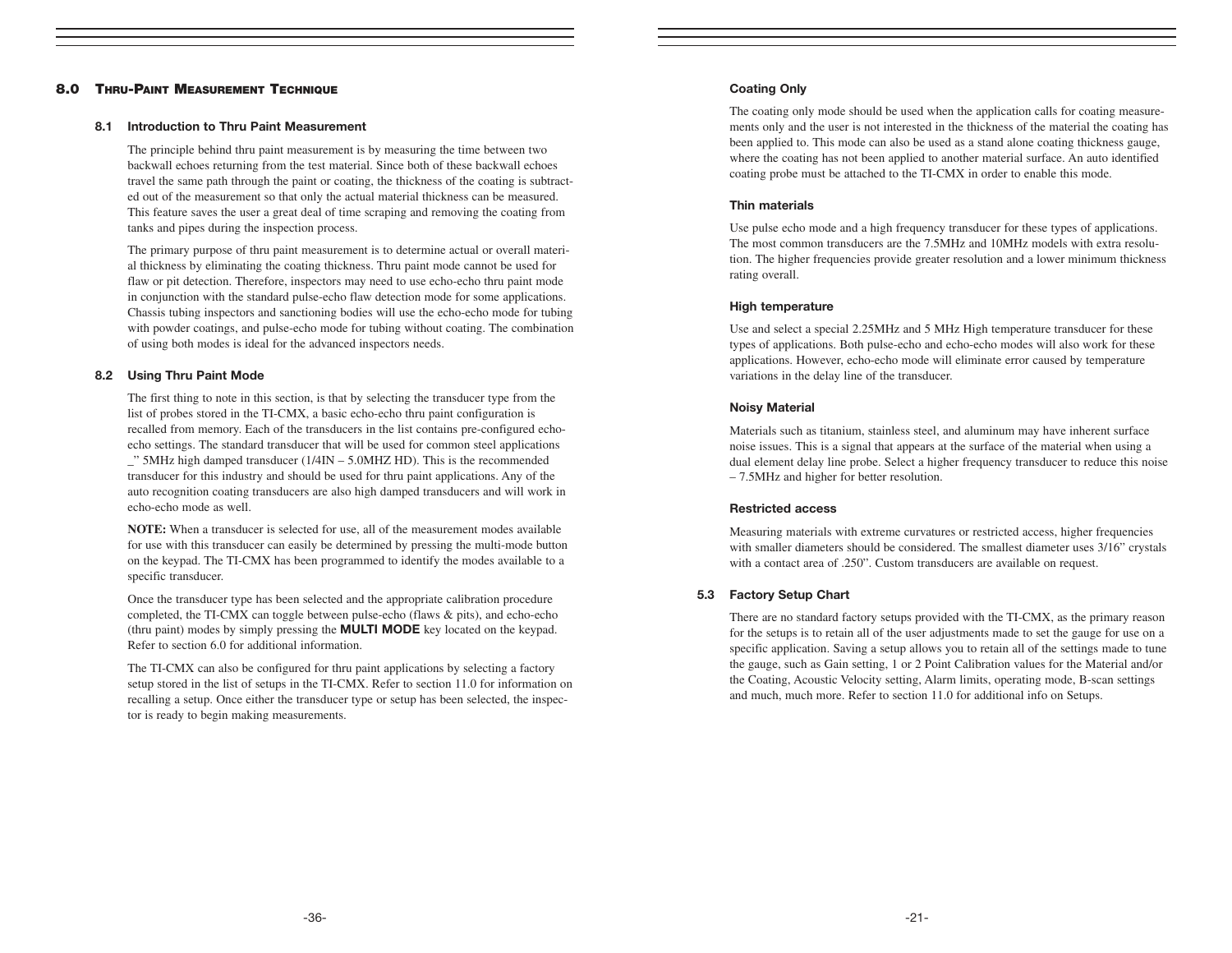#### 8.0 THRU-PAINT MEASUREMENT TECHNIQUE

#### 8.1 Introduction to Thru Paint Measurement

The principle behind thru paint measurement is by measuring the time between two backwall echoes returning from the test material. Since both of these backwall echoes travel the same path through the paint or coating, the thickness of the coating is subtracted out of the measurement so that only the actual material thickness can be measured. This feature saves the user a great deal of time scraping and removing the coating from tanks and pipes during the inspection process.

The primary purpose of thru paint measurement is to determine actual or overall material thickness by eliminating the coating thickness. Thru paint mode cannot be used for flaw or pit detection. Therefore, inspectors may need to use echo-echo thru paint mode in conjunction with the standard pulse-echo flaw detection mode for some applications. Chassis tubing inspectors and sanctioning bodies will use the echo-echo mode for tubing with powder coatings, and pulse-echo mode for tubing without coating. The combination of using both modes is ideal for the advanced inspectors needs.

#### 8.2 Using Thru Paint Mode

The first thing to note in this section, is that by selecting the transducer type from the list of probes stored in the TI-CMX, a basic echo-echo thru paint configuration is recalled from memory. Each of the transducers in the list contains pre-configured echoecho settings. The standard transducer that will be used for common steel applications  $\degree$ " 5MHz high damped transducer (1/4IN – 5.0MHZ HD). This is the recommended transducer for this industry and should be used for thru paint applications. Any of the auto recognition coating transducers are also high damped transducers and will work in echo-echo mode as well.

**NOTE:** When a transducer is selected for use, all of the measurement modes available for use with this transducer can easily be determined by pressing the multi-mode button on the keypad. The TI-CMX has been programmed to identify the modes available to a specific transducer.

Once the transducer type has been selected and the appropriate calibration procedure completed, the TI-CMX can toggle between pulse-echo (flaws & pits), and echo-echo (thru paint) modes by simply pressing the **MULTI MODE** key located on the keypad. Refer to section 6.0 for additional information.

The TI-CMX can also be configured for thru paint applications by selecting a factory setup stored in the list of setups in the TI-CMX. Refer to section 11.0 for information on recalling a setup. Once either the transducer type or setup has been selected, the inspector is ready to begin making measurements.

#### Coating Only

The coating only mode should be used when the application calls for coating measurements only and the user is not interested in the thickness of the material the coating has been applied to. This mode can also be used as a stand alone coating thickness gauge, where the coating has not been applied to another material surface. An auto identified coating probe must be attached to the TI-CMX in order to enable this mode.

#### Thin materials

Use pulse echo mode and a high frequency transducer for these types of applications. The most common transducers are the 7.5MHz and 10MHz models with extra resolution. The higher frequencies provide greater resolution and a lower minimum thickness rating overall.

#### High temperature

Use and select a special 2.25MHz and 5 MHz High temperature transducer for these types of applications. Both pulse-echo and echo-echo modes will also work for these applications. However, echo-echo mode will eliminate error caused by temperature variations in the delay line of the transducer.

#### Noisy Material

Materials such as titanium, stainless steel, and aluminum may have inherent surface noise issues. This is a signal that appears at the surface of the material when using a dual element delay line probe. Select a higher frequency transducer to reduce this noise – 7.5MHz and higher for better resolution.

#### Restricted access

Measuring materials with extreme curvatures or restricted access, higher frequencies with smaller diameters should be considered. The smallest diameter uses 3/16" crystals with a contact area of .250". Custom transducers are available on request.

#### 5.3 Factory Setup Chart

There are no standard factory setups provided with the TI-CMX, as the primary reason for the setups is to retain all of the user adjustments made to set the gauge for use on a specific application. Saving a setup allows you to retain all of the settings made to tune the gauge, such as Gain setting, 1 or 2 Point Calibration values for the Material and/or the Coating, Acoustic Velocity setting, Alarm limits, operating mode, B-scan settings and much, much more. Refer to section 11.0 for additional info on Setups.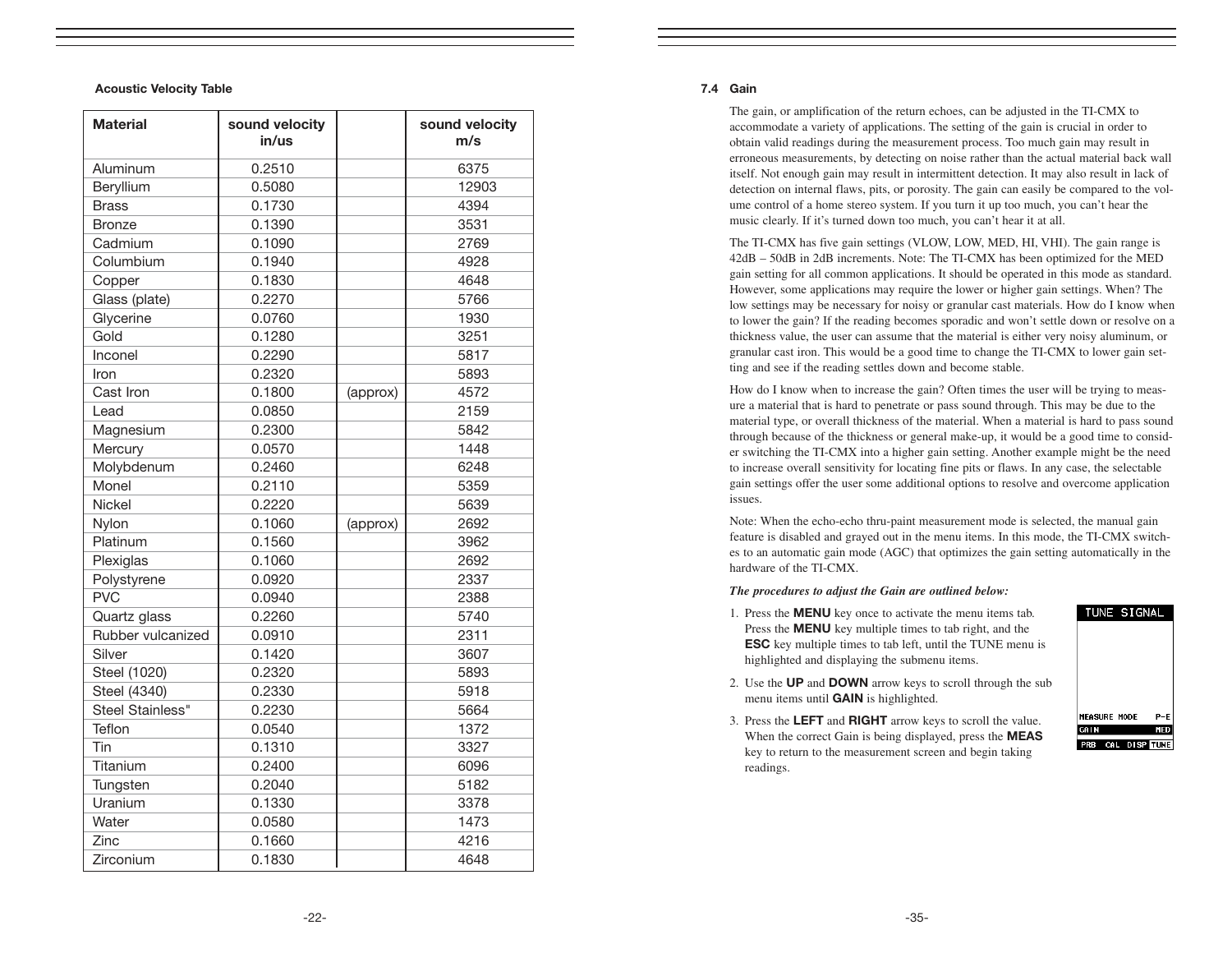#### Acoustic Velocity Table

| <b>Material</b>   | sound velocity<br>in/us |          | sound velocity<br>m/s |
|-------------------|-------------------------|----------|-----------------------|
| Aluminum          | 0.2510                  |          | 6375                  |
| Beryllium         | 0.5080                  |          | 12903                 |
| <b>Brass</b>      | 0.1730                  |          | 4394                  |
| <b>Bronze</b>     | 0.1390                  |          | 3531                  |
| Cadmium           | 0.1090                  |          | 2769                  |
| Columbium         | 0.1940                  |          | 4928                  |
| Copper            | 0.1830                  |          | 4648                  |
| Glass (plate)     | 0.2270                  |          | 5766                  |
| Glycerine         | 0.0760                  |          | 1930                  |
| Gold              | 0.1280                  |          | 3251                  |
| Inconel           | 0.2290                  |          | 5817                  |
| Iron              | 0.2320                  |          | 5893                  |
| Cast Iron         | 0.1800                  | (approx) | 4572                  |
| Lead              | 0.0850                  |          | 2159                  |
| Magnesium         | 0.2300                  |          | 5842                  |
| Mercury           | 0.0570                  |          | 1448                  |
| Molybdenum        | 0.2460                  |          | 6248                  |
| Monel             | 0.2110                  |          | 5359                  |
| <b>Nickel</b>     | 0.2220                  |          | 5639                  |
| Nylon             | 0.1060                  | (approx) | 2692                  |
| Platinum          | 0.1560                  |          | 3962                  |
| Plexiglas         | 0.1060                  |          | 2692                  |
| Polystyrene       | 0.0920                  |          | 2337                  |
| <b>PVC</b>        | 0.0940                  |          | 2388                  |
| Quartz glass      | 0.2260                  |          | 5740                  |
| Rubber vulcanized | 0.0910                  |          | 2311                  |
| Silver            | 0.1420                  |          | 3607                  |
| Steel (1020)      | 0.2320                  |          | 5893                  |
| Steel (4340)      | 0.2330                  |          | 5918                  |
| Steel Stainless"  | 0.2230                  |          | 5664                  |
| Teflon            | 0.0540                  |          | 1372                  |
| Tin               | 0.1310                  |          | 3327                  |
| Titanium          | 0.2400                  |          | 6096                  |
| Tungsten          | 0.2040                  |          | 5182                  |
| Uranium           | 0.1330                  |          | 3378                  |
| Water             | 0.0580                  |          | 1473                  |
| Zinc              | 0.1660                  |          | 4216                  |
| Zirconium         | 0.1830                  |          | 4648                  |

#### 7.4 Gain

The gain, or amplification of the return echoes, can be adjusted in the TI-CMX to accommodate a variety of applications. The setting of the gain is crucial in order to obtain valid readings during the measurement process. Too much gain may result in erroneous measurements, by detecting on noise rather than the actual material back wall itself. Not enough gain may result in intermittent detection. It may also result in lack of detection on internal flaws, pits, or porosity. The gain can easily be compared to the volume control of a home stereo system. If you turn it up too much, you can't hear the music clearly. If it's turned down too much, you can't hear it at all.

The TI-CMX has five gain settings (VLOW, LOW, MED, HI, VHI). The gain range is 42dB – 50dB in 2dB increments. Note: The TI-CMX has been optimized for the MED gain setting for all common applications. It should be operated in this mode as standard. However, some applications may require the lower or higher gain settings. When? The low settings may be necessary for noisy or granular cast materials. How do I know when to lower the gain? If the reading becomes sporadic and won't settle down or resolve on a thickness value, the user can assume that the material is either very noisy aluminum, or granular cast iron. This would be a good time to change the TI-CMX to lower gain setting and see if the reading settles down and become stable.

How do I know when to increase the gain? Often times the user will be trying to measure a material that is hard to penetrate or pass sound through. This may be due to the material type, or overall thickness of the material. When a material is hard to pass sound through because of the thickness or general make-up, it would be a good time to consider switching the TI-CMX into a higher gain setting. Another example might be the need to increase overall sensitivity for locating fine pits or flaws. In any case, the selectable gain settings offer the user some additional options to resolve and overcome application issues.

Note: When the echo-echo thru-paint measurement mode is selected, the manual gain feature is disabled and grayed out in the menu items. In this mode, the TI-CMX switches to an automatic gain mode (AGC) that optimizes the gain setting automatically in the hardware of the TI-CMX.

#### *The procedures to adjust the Gain are outlined below:*

- 1. Press the MENU key once to activate the menu items tab. Press the **MENU** key multiple times to tab right, and the ESC key multiple times to tab left, until the TUNE menu is highlighted and displaying the submenu items.
- 2. Use the UP and DOWN arrow keys to scroll through the sub menu items until GAIN is highlighted.
- 3. Press the LEFT and RIGHT arrow keys to scroll the value. When the correct Gain is being displayed, press the **MEAS** key to return to the measurement screen and begin taking readings.

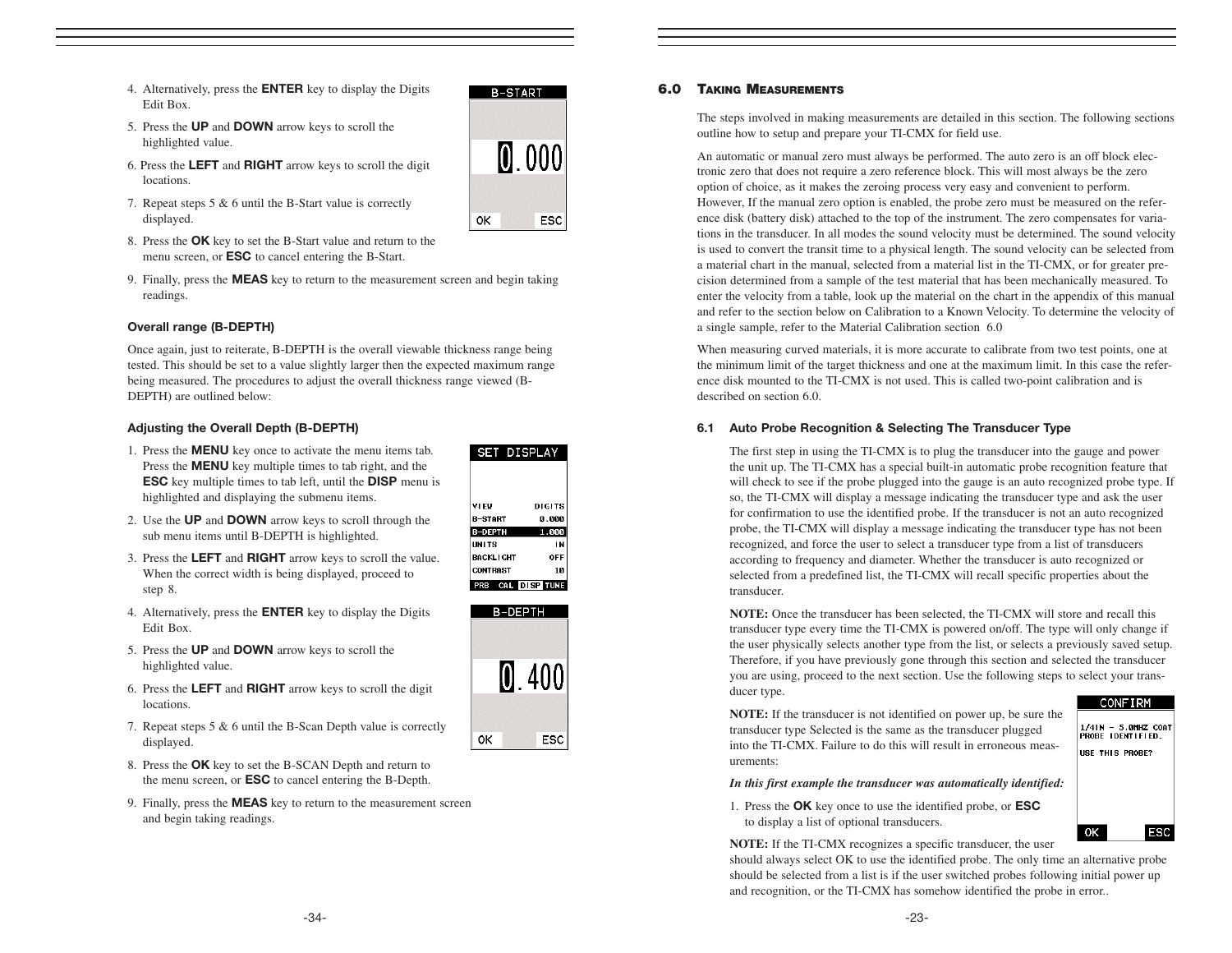- 4. Alternatively, press the ENTER key to display the Digits Edit Box.
- 5. Press the UP and DOWN arrow keys to scroll the highlighted value.
- 6. Press the LEFT and RIGHT arrow keys to scroll the digit locations.
- 7. Repeat steps 5 & 6 until the B-Start value is correctly displayed.
- 8. Press the OK key to set the B-Start value and return to the menu screen, or ESC to cancel entering the B-Start.
- 9. Finally, press the MEAS key to return to the measurement screen and begin taking readings.

#### Overall range (B-DEPTH)

Once again, just to reiterate, B-DEPTH is the overall viewable thickness range being tested. This should be set to a value slightly larger then the expected maximum range being measured. The procedures to adjust the overall thickness range viewed (B-DEPTH) are outlined below:

#### Adjusting the Overall Depth (B-DEPTH)

- 1. Press the MENU key once to activate the menu items tab. Press the MENU key multiple times to tab right, and the ESC key multiple times to tab left, until the DISP menu is highlighted and displaying the submenu items.
- 2. Use the UP and DOWN arrow keys to scroll through the sub menu items until B-DEPTH is highlighted.
- 3. Press the LEFT and RIGHT arrow keys to scroll the value. When the correct width is being displayed, proceed to step 8.
- 4. Alternatively, press the **ENTER** key to display the Digits Edit Box.
- 5. Press the UP and DOWN arrow keys to scroll the highlighted value.
- 6. Press the LEFT and RIGHT arrow keys to scroll the digit locations.
- 7. Repeat steps 5 & 6 until the B-Scan Depth value is correctly displayed.
- 8. Press the OK key to set the B-SCAN Depth and return to the menu screen, or ESC to cancel entering the B-Depth.
- 9. Finally, press the **MEAS** key to return to the measurement screen and begin taking readings.





#### 6.0 TAKING MEASUREMENTS

The steps involved in making measurements are detailed in this section. The following sections outline how to setup and prepare your TI-CMX for field use.

An automatic or manual zero must always be performed. The auto zero is an off block electronic zero that does not require a zero reference block. This will most always be the zero option of choice, as it makes the zeroing process very easy and convenient to perform. However, If the manual zero option is enabled, the probe zero must be measured on the reference disk (battery disk) attached to the top of the instrument. The zero compensates for variations in the transducer. In all modes the sound velocity must be determined. The sound velocity is used to convert the transit time to a physical length. The sound velocity can be selected from a material chart in the manual, selected from a material list in the TI-CMX, or for greater precision determined from a sample of the test material that has been mechanically measured. To enter the velocity from a table, look up the material on the chart in the appendix of this manual and refer to the section below on Calibration to a Known Velocity. To determine the velocity of a single sample, refer to the Material Calibration section 6.0

When measuring curved materials, it is more accurate to calibrate from two test points, one at the minimum limit of the target thickness and one at the maximum limit. In this case the reference disk mounted to the TI-CMX is not used. This is called two-point calibration and is described on section 6.0.

#### 6.1 Auto Probe Recognition & Selecting The Transducer Type

The first step in using the TI-CMX is to plug the transducer into the gauge and power the unit up. The TI-CMX has a special built-in automatic probe recognition feature that will check to see if the probe plugged into the gauge is an auto recognized probe type. If so, the TI-CMX will display a message indicating the transducer type and ask the user for confirmation to use the identified probe. If the transducer is not an auto recognized probe, the TI-CMX will display a message indicating the transducer type has not been recognized, and force the user to select a transducer type from a list of transducers according to frequency and diameter. Whether the transducer is auto recognized or selected from a predefined list, the TI-CMX will recall specific properties about the transducer.

**NOTE:** Once the transducer has been selected, the TI-CMX will store and recall this transducer type every time the TI-CMX is powered on/off. The type will only change if the user physically selects another type from the list, or selects a previously saved setup. Therefore, if you have previously gone through this section and selected the transducer you are using, proceed to the next section. Use the following steps to select your transducer type.

#### **CONFIRM**

**NOTE:** If the transducer is not identified on power up, be sure the transducer type Selected is the same as the transducer plugged into the TI-CMX. Failure to do this will result in erroneous measurements:

*In this first example the transducer was automatically identified:*

# 1/4IN - 5.0MHZ COAT<br>PROBE IDENTIFIED. USE THIS PROBE?

ESC

 $\alpha$ 

1. Press the OK key once to use the identified probe, or ESC to display a list of optional transducers.

**NOTE:** If the TI-CMX recognizes a specific transducer, the user

should always select OK to use the identified probe. The only time an alternative probe should be selected from a list is if the user switched probes following initial power up and recognition, or the TI-CMX has somehow identified the probe in error..

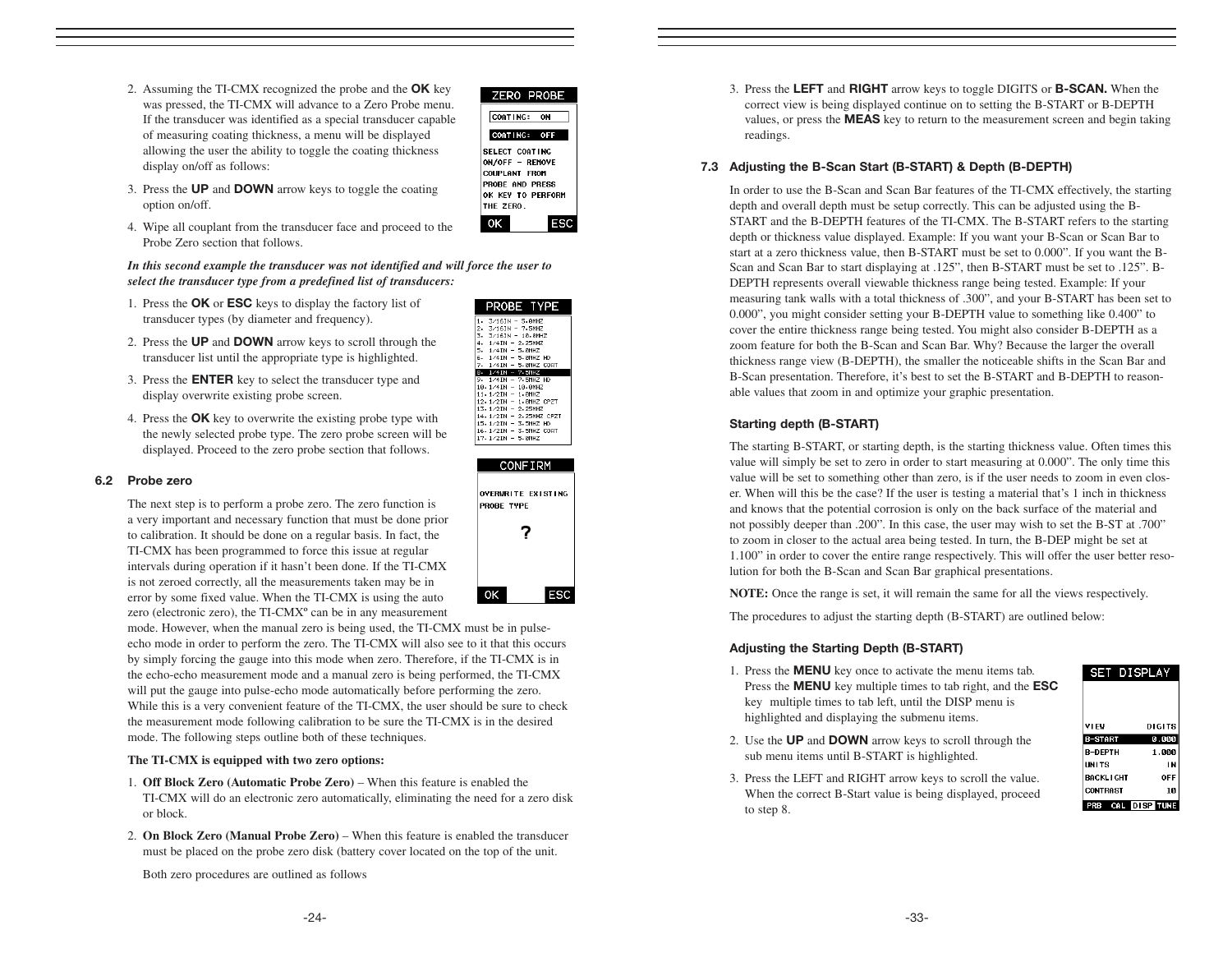2. Assuming the TI-CMX recognized the probe and the **OK** key was pressed, the TI-CMX will advance to a Zero Probe menu. If the transducer was identified as a special transducer capable of measuring coating thickness, a menu will be displayed allowing the user the ability to toggle the coating thickness display on/off as follows:



- 3. Press the UP and DOWN arrow keys to toggle the coating option on/off.
- 4. Wipe all couplant from the transducer face and proceed to the Probe Zero section that follows.

*In this second example the transducer was not identified and will force the user to select the transducer type from a predefined list of transducers:*

- 1. Press the OK or ESC keys to display the factory list of transducer types (by diameter and frequency).
- 2. Press the UP and DOWN arrow keys to scroll through the transducer list until the appropriate type is highlighted.
- 3. Press the ENTER key to select the transducer type and display overwrite existing probe screen.
- 4. Press the **OK** key to overwrite the existing probe type with the newly selected probe type. The zero probe screen will be displayed. Proceed to the zero probe section that follows.

#### 6.2 Probe zero

The next step is to perform a probe zero. The zero function is a very important and necessary function that must be done prior to calibration. It should be done on a regular basis. In fact, the TI-CMX has been programmed to force this issue at regular intervals during operation if it hasn't been done. If the TI-CMX is not zeroed correctly, all the measurements taken may be in error by some fixed value. When the TI-CMX is using the auto zero (electronic zero), the TI-CMX° can be in any measurement

mode. However, when the manual zero is being used, the TI-CMX must be in pulseecho mode in order to perform the zero. The TI-CMX will also see to it that this occurs by simply forcing the gauge into this mode when zero. Therefore, if the TI-CMX is in the echo-echo measurement mode and a manual zero is being performed, the TI-CMX will put the gauge into pulse-echo mode automatically before performing the zero. While this is a very convenient feature of the TI-CMX, the user should be sure to check the measurement mode following calibration to be sure the TI-CMX is in the desired mode. The following steps outline both of these techniques.

#### **The TI-CMX is equipped with two zero options:**

- 1. **Off Block Zero (Automatic Probe Zero)**  When this feature is enabled the TI-CMX will do an electronic zero automatically, eliminating the need for a zero disk or block.
- 2. **On Block Zero (Manual Probe Zero)**  When this feature is enabled the transducer must be placed on the probe zero disk (battery cover located on the top of the unit.

Both zero procedures are outlined as follows

| PROBE TYPE              |
|-------------------------|
| $3/16$ IN - 5.0MHZ      |
| 3/16IN - 7.5MHZ         |
| . 3⁄16IN – 10.0MHZ      |
| 1/4IN - 2.25MHZ         |
| $1/4$ IN - 5.0MHZ       |
| 1/4IN - 5 0MHZ HD       |
| $1/4$ IN - 5.0MHZ COAT  |
| 1/4IN - 7.5MHZ          |
| $1/4$ IN - $7.5$ MHZ HD |
| 3.1/4IN - 10.0MHZ       |
| $1.1/2IN - 1.0MHz$      |
| 2.1/2IN - 1.0MHZ CPZT   |
| 3 1/2IN - 2 25MHZ       |
| 4 1/2IN - 2 25MHZ CPZT  |
| 5.1/2IN - 3.5MHZ HD     |
|                         |
| 7.1/2IN - 5.0MHZ        |
|                         |

Ř



3. Press the LEFT and RIGHT arrow keys to toggle DIGITS or B-SCAN. When the correct view is being displayed continue on to setting the B-START or B-DEPTH values, or press the MEAS key to return to the measurement screen and begin taking readings.

#### 7.3 Adjusting the B-Scan Start (B-START) & Depth (B-DEPTH)

In order to use the B-Scan and Scan Bar features of the TI-CMX effectively, the starting depth and overall depth must be setup correctly. This can be adjusted using the B-START and the B-DEPTH features of the TI-CMX. The B-START refers to the starting depth or thickness value displayed. Example: If you want your B-Scan or Scan Bar to start at a zero thickness value, then B-START must be set to 0.000". If you want the B-Scan and Scan Bar to start displaying at .125", then B-START must be set to .125". B-DEPTH represents overall viewable thickness range being tested. Example: If your measuring tank walls with a total thickness of .300", and your B-START has been set to 0.000", you might consider setting your B-DEPTH value to something like 0.400" to cover the entire thickness range being tested. You might also consider B-DEPTH as a zoom feature for both the B-Scan and Scan Bar. Why? Because the larger the overall thickness range view (B-DEPTH), the smaller the noticeable shifts in the Scan Bar and B-Scan presentation. Therefore, it's best to set the B-START and B-DEPTH to reasonable values that zoom in and optimize your graphic presentation.

#### Starting depth (B-START)

The starting B-START, or starting depth, is the starting thickness value. Often times this value will simply be set to zero in order to start measuring at 0.000". The only time this value will be set to something other than zero, is if the user needs to zoom in even closer. When will this be the case? If the user is testing a material that's 1 inch in thickness and knows that the potential corrosion is only on the back surface of the material and not possibly deeper than .200". In this case, the user may wish to set the B-ST at .700" to zoom in closer to the actual area being tested. In turn, the B-DEP might be set at 1.100" in order to cover the entire range respectively. This will offer the user better resolution for both the B-Scan and Scan Bar graphical presentations.

**NOTE:** Once the range is set, it will remain the same for all the views respectively.

The procedures to adjust the starting depth (B-START) are outlined below:

#### Adjusting the Starting Depth (B-START)

- 1. Press the MENU key once to activate the menu items tab. Press the **MENU** key multiple times to tab right, and the **ESC** key multiple times to tab left, until the DISP menu is highlighted and displaying the submenu items.
- 2. Use the UP and DOWN arrow keys to scroll through the sub menu items until B-START is highlighted.
- 3. Press the LEFT and RIGHT arrow keys to scroll the value. When the correct B-Start value is being displayed, proceed to step 8.

| <b>SET DISPLAY</b> |        |
|--------------------|--------|
|                    |        |
|                    |        |
| VI EV              | DIGITS |
| <b>B-START</b>     | 0.000  |
| <b>R-DFPTH</b>     | 1.000  |
| <b>INITS</b>       | ΙN     |
| <b>BACKLIGHT</b>   | OFF    |
| <b>CONTRAST</b>    | 10     |
| PRB CAL DISP TUNE  |        |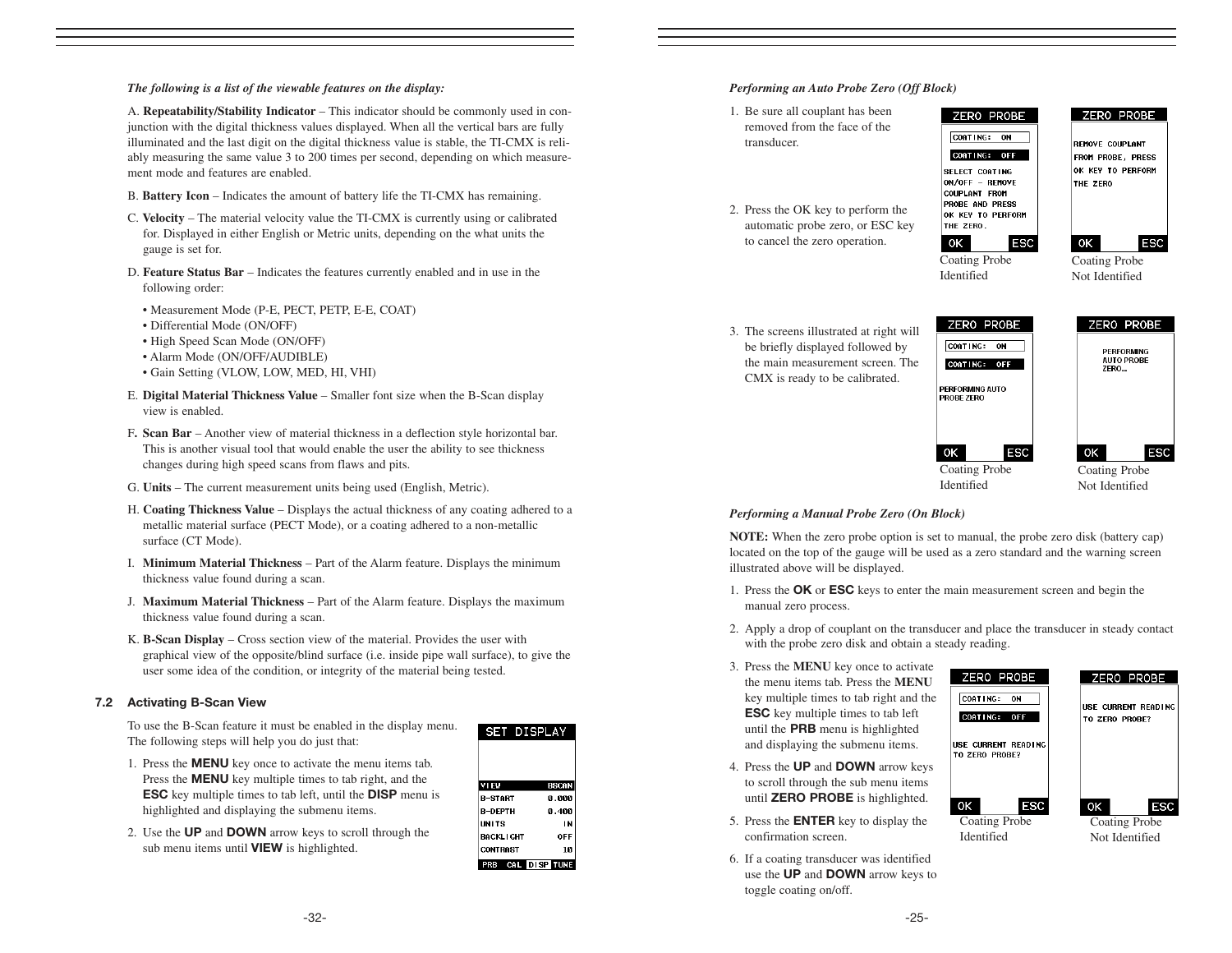#### *The following is a list of the viewable features on the display:*

A. **Repeatability/Stability Indicator** – This indicator should be commonly used in conjunction with the digital thickness values displayed. When all the vertical bars are fully illuminated and the last digit on the digital thickness value is stable, the TI-CMX is reliably measuring the same value 3 to 200 times per second, depending on which measurement mode and features are enabled.

- B. **Battery Icon** Indicates the amount of battery life the TI-CMX has remaining.
- C. **Velocity** The material velocity value the TI-CMX is currently using or calibrated for. Displayed in either English or Metric units, depending on the what units the gauge is set for.
- D. **Feature Status Bar**  Indicates the features currently enabled and in use in the following order:
	- Measurement Mode (P-E, PECT, PETP, E-E, COAT)
	- Differential Mode (ON/OFF)
	- High Speed Scan Mode (ON/OFF)
	- Alarm Mode (ON/OFF/AUDIBLE)
	- Gain Setting (VLOW, LOW, MED, HI, VHI)
- E. **Digital Material Thickness Value** Smaller font size when the B-Scan display view is enabled.
- F**. Scan Bar** Another view of material thickness in a deflection style horizontal bar. This is another visual tool that would enable the user the ability to see thickness changes during high speed scans from flaws and pits.
- G. **Units** The current measurement units being used (English, Metric).
- H. **Coating Thickness Value** Displays the actual thickness of any coating adhered to a metallic material surface (PECT Mode), or a coating adhered to a non-metallic surface (CT Mode).
- I. **Minimum Material Thickness** Part of the Alarm feature. Displays the minimum thickness value found during a scan.
- J. **Maximum Material Thickness**  Part of the Alarm feature. Displays the maximum thickness value found during a scan.
- K. **B-Scan Display** Cross section view of the material. Provides the user with graphical view of the opposite/blind surface (i.e. inside pipe wall surface), to give the user some idea of the condition, or integrity of the material being tested.

#### 7.2 Activating B-Scan View



- 1. Press the MENU key once to activate the menu items tab. Press the **MENU** key multiple times to tab right, and the ESC key multiple times to tab left, until the DISP menu is highlighted and displaying the submenu items.
- 2. Use the UP and DOWN arrow keys to scroll through the sub menu items until **VIEW** is highlighted.

| <b>SET DISPLAY</b> |               |
|--------------------|---------------|
|                    |               |
|                    |               |
|                    | <b>BSCAN</b>  |
| VIEW               |               |
| R-START            | 0.000         |
| <b>R-DFPTH</b>     | 0.400         |
| <b>IINITS</b>      | IN            |
| <b>BACKLIGHT</b>   | OFF           |
| <b>CONTRAST</b>    | 10            |
|                    | CAL DISP TUNE |

#### *Performing an Auto Probe Zero (Off Block)*

- 1. Be sure all couplant has been removed from the face of the transducer.
- 2. Press the OK key to perform the automatic probe zero, or ESC key to cancel the zero operation.

3. The screens illustrated at right will be briefly displayed followed by the main measurement screen. The CMX is ready to be calibrated.





**REMOVE COUPLANT** FROM PROBE, PRESS OK KEY TO PERFORM THE ZERO



Identified



Coating Probe Not Identified

**ESC** 

ZERO PROBE ZERO PROBE CORTING: ON PERFORMING<br>AUTO PROBE COATING: OFF ZERO... **PERFORMING AUTO PROBE ZERO** ESC OK ESC ΟK Coating Probe

Coating Probe Not Identified

#### *Performing a Manual Probe Zero (On Block)*

**NOTE:** When the zero probe option is set to manual, the probe zero disk (battery cap) located on the top of the gauge will be used as a zero standard and the warning screen illustrated above will be displayed.

Identified

- 1. Press the OK or ESC keys to enter the main measurement screen and begin the manual zero process.
- 2. Apply a drop of couplant on the transducer and place the transducer in steady contact with the probe zero disk and obtain a steady reading.

0K

- 3. Press the **MENU** key once to activate the menu items tab. Press the **MENU** key multiple times to tab right and the ESC key multiple times to tab left until the PRB menu is highlighted and displaying the submenu items.
- 4. Press the UP and DOWN arrow keys to scroll through the sub menu items until ZERO PROBE is highlighted.
- 5. Press the ENTER key to display the confirmation screen.
- 6. If a coating transducer was identified use the UP and DOWN arrow keys to toggle coating on/off.



-32-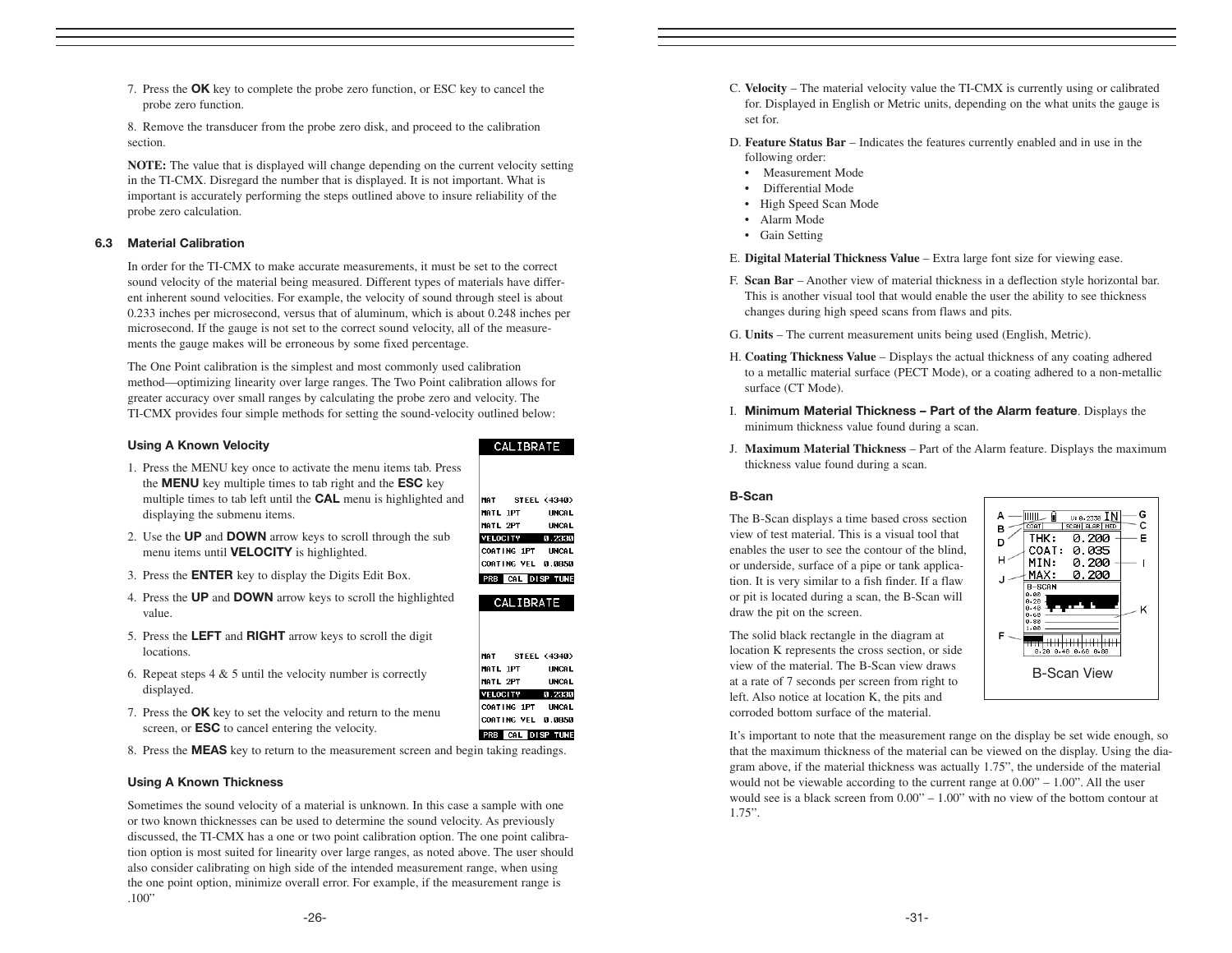7. Press the OK key to complete the probe zero function, or ESC key to cancel the probe zero function.

8. Remove the transducer from the probe zero disk, and proceed to the calibration section.

**NOTE:** The value that is displayed will change depending on the current velocity setting in the TI-CMX. Disregard the number that is displayed. It is not important. What is important is accurately performing the steps outlined above to insure reliability of the probe zero calculation.

#### 6.3 Material Calibration

In order for the TI-CMX to make accurate measurements, it must be set to the correct sound velocity of the material being measured. Different types of materials have different inherent sound velocities. For example, the velocity of sound through steel is about 0.233 inches per microsecond, versus that of aluminum, which is about 0.248 inches per microsecond. If the gauge is not set to the correct sound velocity, all of the measurements the gauge makes will be erroneous by some fixed percentage.

The One Point calibration is the simplest and most commonly used calibration method—optimizing linearity over large ranges. The Two Point calibration allows for greater accuracy over small ranges by calculating the probe zero and velocity. The TI-CMX provides four simple methods for setting the sound-velocity outlined below:

#### Using A Known Velocity

- 1. Press the MENU key once to activate the menu items tab. Press the MENU key multiple times to tab right and the ESC key multiple times to tab left until the CAL menu is highlighted and displaying the submenu items.
- 2. Use the UP and DOWN arrow keys to scroll through the sub menu items until VELOCITY is highlighted.
- 3. Press the ENTER key to display the Digits Edit Box.
- 4. Press the UP and DOWN arrow keys to scroll the highlighted value.
- 5. Press the LEFT and RIGHT arrow keys to scroll the digit locations.
- 6. Repeat steps  $4 \& 5$  until the velocity number is correctly displayed.
- 7. Press the **OK** key to set the velocity and return to the menu screen, or ESC to cancel entering the velocity.
- 8. Press the MEAS key to return to the measurement screen and begin taking readings.

#### Using A Known Thickness

Sometimes the sound velocity of a material is unknown. In this case a sample with one or two known thicknesses can be used to determine the sound velocity. As previously discussed, the TI-CMX has a one or two point calibration option. The one point calibration option is most suited for linearity over large ranges, as noted above. The user should also consider calibrating on high side of the intended measurement range, when using the one point option, minimize overall error. For example, if the measurement range is .100"

#### CALIBRATE

|                 | MAT STEEL (4340)         |
|-----------------|--------------------------|
| MATL 1PT        | <b>UNCAL</b>             |
| MATL 2PT        | <b>UNCAL</b>             |
| <b>VELOCITY</b> | 0.2330                   |
|                 | COATING 1PT UNCAL        |
|                 | COATING VEL 0.0850       |
|                 | <b>PRB</b> CAL DISP TUNE |





- C. **Velocity** The material velocity value the TI-CMX is currently using or calibrated for. Displayed in English or Metric units, depending on the what units the gauge is set for.
- D. **Feature Status Bar** Indicates the features currently enabled and in use in the following order:
	- Measurement Mode
	- Differential Mode
- High Speed Scan Mode
- Alarm Mode
- Gain Setting

E. **Digital Material Thickness Value** – Extra large font size for viewing ease.

- F. **Scan Bar**  Another view of material thickness in a deflection style horizontal bar. This is another visual tool that would enable the user the ability to see thickness changes during high speed scans from flaws and pits.
- G. **Units** The current measurement units being used (English, Metric).
- H. **Coating Thickness Value** Displays the actual thickness of any coating adhered to a metallic material surface (PECT Mode), or a coating adhered to a non-metallic surface (CT Mode).
- I. Minimum Material Thickness Part of the Alarm feature. Displays the minimum thickness value found during a scan.
- J. **Maximum Material Thickness**  Part of the Alarm feature. Displays the maximum thickness value found during a scan.

#### B-Scan

The B-Scan displays a time based cross section view of test material. This is a visual tool that enables the user to see the contour of the blind, or underside, surface of a pipe or tank application. It is very similar to a fish finder. If a flaw or pit is located during a scan, the B-Scan will draw the pit on the screen.

The solid black rectangle in the diagram at location K represents the cross section, or side view of the material. The B-Scan view draws at a rate of 7 seconds per screen from right to left. Also notice at location K, the pits and corroded bottom surface of the material.



It's important to note that the measurement range on the display be set wide enough, so that the maximum thickness of the material can be viewed on the display. Using the diagram above, if the material thickness was actually 1.75", the underside of the material would not be viewable according to the current range at  $0.00" - 1.00"$ . All the user would see is a black screen from 0.00" – 1.00" with no view of the bottom contour at 1.75".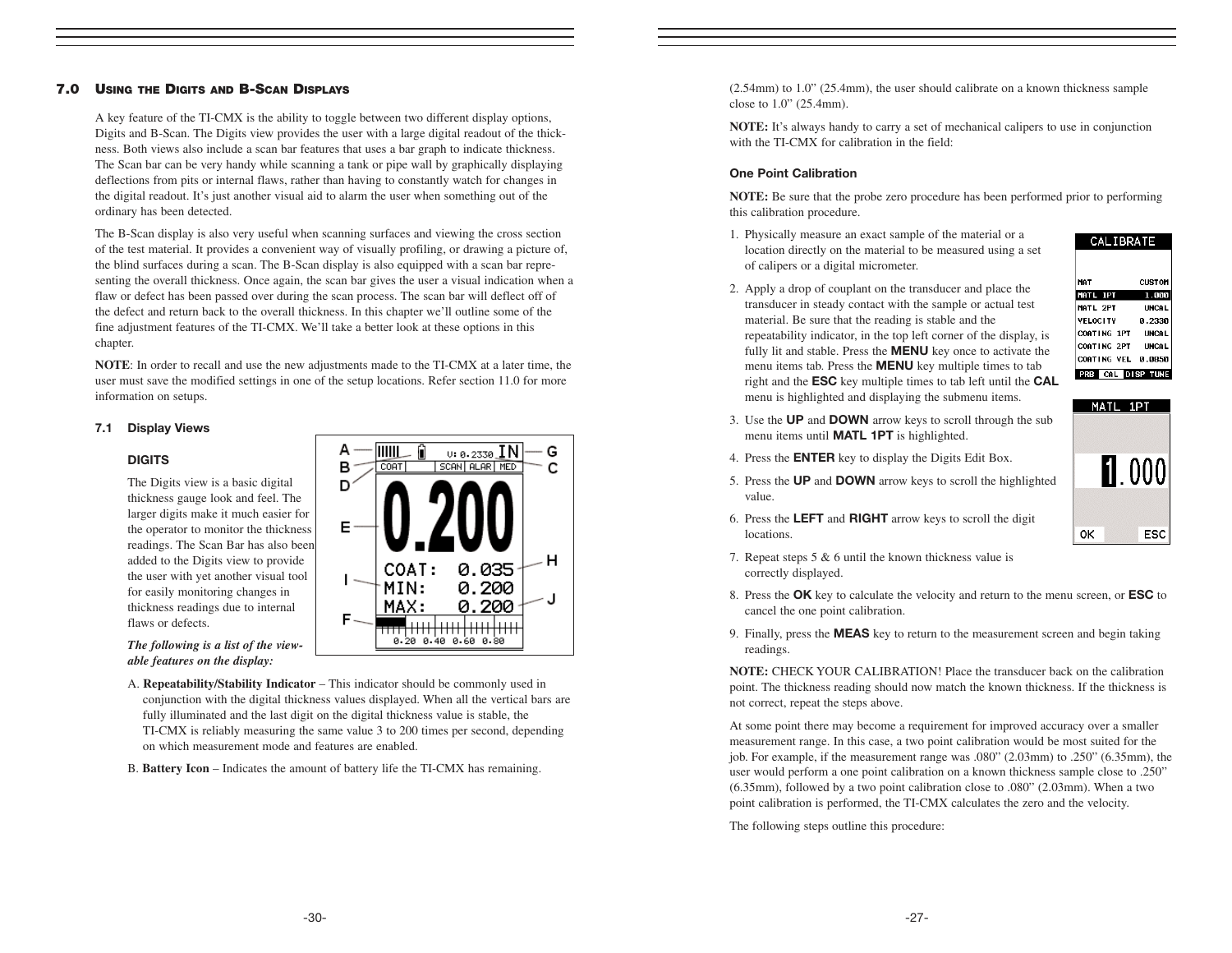#### 7.0 USING THE DIGITS AND B-SCAN DISPLAYS

A key feature of the TI-CMX is the ability to toggle between two different display options, Digits and B-Scan. The Digits view provides the user with a large digital readout of the thickness. Both views also include a scan bar features that uses a bar graph to indicate thickness. The Scan bar can be very handy while scanning a tank or pipe wall by graphically displaying deflections from pits or internal flaws, rather than having to constantly watch for changes in the digital readout. It's just another visual aid to alarm the user when something out of the ordinary has been detected.

The B-Scan display is also very useful when scanning surfaces and viewing the cross section of the test material. It provides a convenient way of visually profiling, or drawing a picture of, the blind surfaces during a scan. The B-Scan display is also equipped with a scan bar representing the overall thickness. Once again, the scan bar gives the user a visual indication when a flaw or defect has been passed over during the scan process. The scan bar will deflect off of the defect and return back to the overall thickness. In this chapter we'll outline some of the fine adjustment features of the TI-CMX. We'll take a better look at these options in this chapter.

**NOTE**: In order to recall and use the new adjustments made to the TI-CMX at a later time, the user must save the modified settings in one of the setup locations. Refer section 11.0 for more information on setups.

#### 7.1 Display Views

#### **DIGITS**

The Digits view is a basic digital thickness gauge look and feel. The larger digits make it much easier for the operator to monitor the thickness readings. The Scan Bar has also been added to the Digits view to provide the user with yet another visual tool for easily monitoring changes in thickness readings due to internal flaws or defects.

*The following is a list of the viewable features on the display:*

A. **Repeatability/Stability Indicator** – This indicator should be commonly used in conjunction with the digital thickness values displayed. When all the vertical bars are fully illuminated and the last digit on the digital thickness value is stable, the TI-CMX is reliably measuring the same value 3 to 200 times per second, depending on which measurement mode and features are enabled.

B. **Battery Icon** – Indicates the amount of battery life the TI-CMX has remaining.

А **IIIIII**  $0: 0.2330$  IN G в CORT SCAN ALAR MED C D Е н 0.035 COAT: MIN: 0.200 0.200 MAX: 0.20 0.40 0.60 0.80

(2.54mm) to 1.0" (25.4mm), the user should calibrate on a known thickness sample close to 1.0" (25.4mm).

**NOTE:** It's always handy to carry a set of mechanical calipers to use in conjunction with the TI-CMX for calibration in the field:

#### One Point Calibration

**NOTE:** Be sure that the probe zero procedure has been performed prior to performing this calibration procedure.

1. Physically measure an exact sample of the material or a location directly on the material to be measured using a set of calipers or a digital micrometer.

2. Apply a drop of couplant on the transducer and place the transducer in steady contact with the sample or actual test material. Be sure that the reading is stable and the repeatability indicator, in the top left corner of the display, is fully lit and stable. Press the MENU key once to activate the menu items tab. Press the MENU key multiple times to tab right and the ESC key multiple times to tab left until the CAL menu is highlighted and displaying the submenu items.

- CALIBRATE **CUST OM** MATL 1PT 1.000 MATL 2PT **UNCAL VELOCITY** 0.2330 COATING 1PT UNCAL **COATING 2PT UNCAL** COATING VEL 0.0850 PRB CAL DISP TUNE
- 3. Use the UP and DOWN arrow keys to scroll through the sub menu items until **MATL 1PT** is highlighted.
- 4. Press the ENTER key to display the Digits Edit Box.
- 5. Press the UP and DOWN arrow keys to scroll the highlighted value.



- 6. Press the LEFT and RIGHT arrow keys to scroll the digit locations.
- 7. Repeat steps 5 & 6 until the known thickness value is correctly displayed.
- 8. Press the OK key to calculate the velocity and return to the menu screen, or ESC to cancel the one point calibration.
- 9. Finally, press the MEAS key to return to the measurement screen and begin taking readings.

**NOTE:** CHECK YOUR CALIBRATION! Place the transducer back on the calibration point. The thickness reading should now match the known thickness. If the thickness is not correct, repeat the steps above.

At some point there may become a requirement for improved accuracy over a smaller measurement range. In this case, a two point calibration would be most suited for the job. For example, if the measurement range was .080" (2.03mm) to .250" (6.35mm), the user would perform a one point calibration on a known thickness sample close to .250" (6.35mm), followed by a two point calibration close to .080" (2.03mm). When a two point calibration is performed, the TI-CMX calculates the zero and the velocity.

The following steps outline this procedure: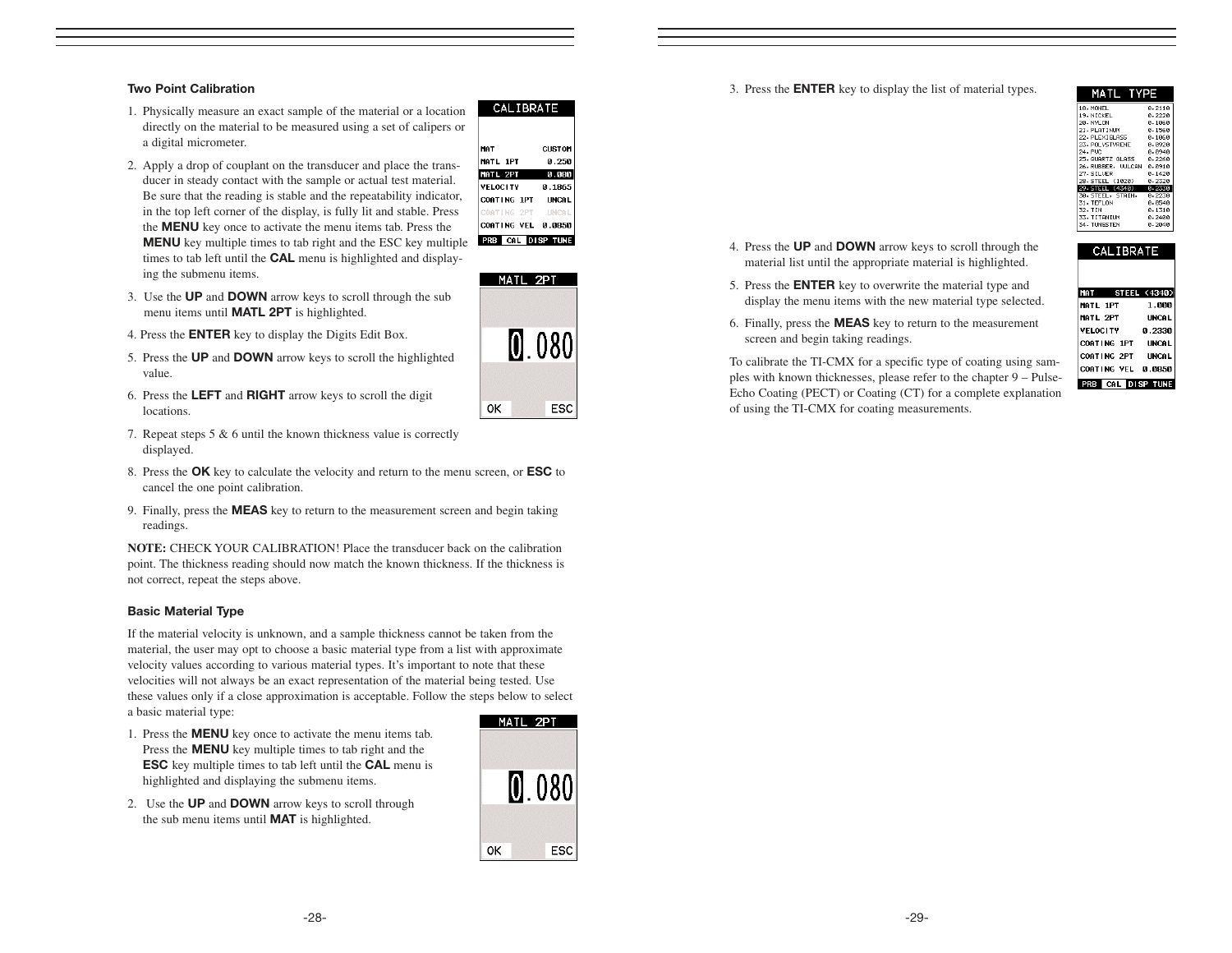#### Two Point Calibration

- 1. Physically measure an exact sample of the material or a location directly on the material to be measured using a set of calipers or a digital micrometer.
- 2. Apply a drop of couplant on the transducer and place the transducer in steady contact with the sample or actual test material. Be sure that the reading is stable and the repeatability indicator, in the top left corner of the display, is fully lit and stable. Press the MENU key once to activate the menu items tab. Press the MENU key multiple times to tab right and the ESC key multiple times to tab left until the CAL menu is highlighted and displaying the submenu items.



MATL 2PT

0K

 $080$ 

ESC

CALIBRATE

- 3. Use the UP and DOWN arrow keys to scroll through the sub menu items until MATL 2PT is highlighted.
- 4. Press the ENTER key to display the Digits Edit Box.
- 5. Press the UP and DOWN arrow keys to scroll the highlighted value.
- 6. Press the LEFT and RIGHT arrow keys to scroll the digit locations.
- 7. Repeat steps 5 & 6 until the known thickness value is correctly displayed.
- 8. Press the OK key to calculate the velocity and return to the menu screen, or ESC to cancel the one point calibration.
- 9. Finally, press the MEAS key to return to the measurement screen and begin taking readings.

**NOTE:** CHECK YOUR CALIBRATION! Place the transducer back on the calibration point. The thickness reading should now match the known thickness. If the thickness is not correct, repeat the steps above.

#### Basic Material Type

If the material velocity is unknown, and a sample thickness cannot be taken from the material, the user may opt to choose a basic material type from a list with approximate velocity values according to various material types. It's important to note that these velocities will not always be an exact representation of the material being tested. Use these values only if a close approximation is acceptable. Follow the steps below to select a basic material type:

- 1. Press the MENU key once to activate the menu items tab. Press the MENU key multiple times to tab right and the ESC key multiple times to tab left until the CAL menu is highlighted and displaying the submenu items.
- 2. Use the **UP** and **DOWN** arrow keys to scroll through the sub menu items until **MAT** is highlighted.



3. Press the ENTER key to display the list of material types.

| MATL_<br>TYPE            |               |  |
|--------------------------|---------------|--|
| 18. MONEL                | 0.2110        |  |
| 19. NTCKEL               | ค. 222ค       |  |
| 20. NYLON                | 0.1060        |  |
| 21. PI ATTNIIN           | A.1568        |  |
| 22. PLEXIGLASS           | 0.1060        |  |
| 23. PNI VSTVRENE         | . п. поря     |  |
| 24. PUC                  | 0.0940        |  |
| 25. GHARTZ GLASS         | я. 2268       |  |
| 26.RUBBER, VULCAN        | 0.0910        |  |
| 27. STI UFR              | ค. 142ค       |  |
| 28 STEEL (1020)          | 0.2320        |  |
| 29 STEEL (4340)          | <b>A.233A</b> |  |
| 30. STEEL, STAIN, 0.2230 |               |  |
| 31. TEELON               | 0.0540        |  |
| 32. TIN                  | 0.1310        |  |
| 33. TITANTUM             | ค.ว4คค        |  |
| 34. TUNGSTEN             | 0.2040        |  |

**CALIBRATE** 

- 4. Press the UP and DOWN arrow keys to scroll through the material list until the appropriate material is highlighted.
- 5. Press the ENTER key to overwrite the material type and display the menu items with the new material type selected.
- 6. Finally, press the MEAS key to return to the measurement screen and begin taking readings.

To calibrate the TI-CMX for a specific type of coating using samples with known thicknesses, please refer to the chapter 9 – Pulse-Echo Coating (PECT) or Coating (CT) for a complete explanation of using the TI-CMX for coating measurements.

| <b>STEEL (4340)</b>          |
|------------------------------|
| 1.000                        |
| IINCAL                       |
| 8.2330                       |
| COATING 1PT<br><b>LINCAL</b> |
| COATING 2PT<br><b>UNCAL</b>  |
| COATING VEL 0.0850           |
| <b>CD TINE</b>               |